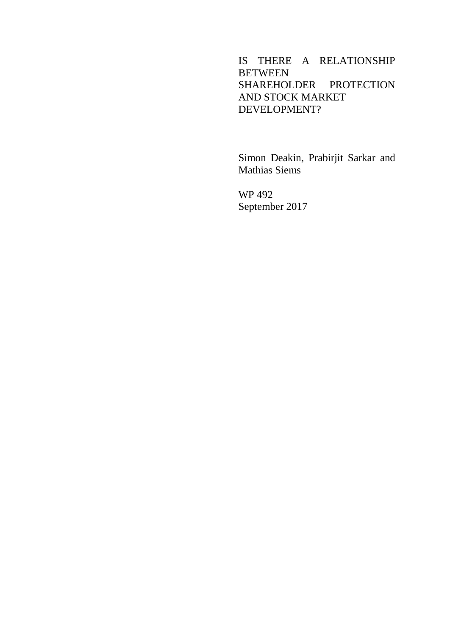## IS THERE A RELATIONSHIP **BETWEEN** SHAREHOLDER PROTECTION AND STOCK MARKET DEVELOPMENT?

Simon Deakin, Prabirjit Sarkar and Mathias Siems

WP 492 September 2017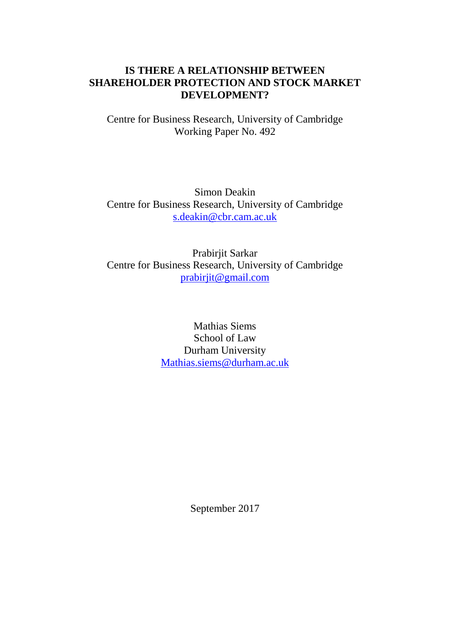#### **IS THERE A RELATIONSHIP BETWEEN SHAREHOLDER PROTECTION AND STOCK MARKET DEVELOPMENT?**

Centre for Business Research, University of Cambridge Working Paper No. 492

Simon Deakin Centre for Business Research, University of Cambridge [s.deakin@cbr.cam.ac.uk](mailto:s.deakin@cbr.cam.ac.uk)

Prabirjit Sarkar Centre for Business Research, University of Cambridge [prabirjit@gmail.com](mailto:prabirjit@gmail.com)

> Mathias Siems School of Law Durham University [Mathias.siems@durham.ac.uk](mailto:Mathias.siems@durham.ac.uk)

> > September 2017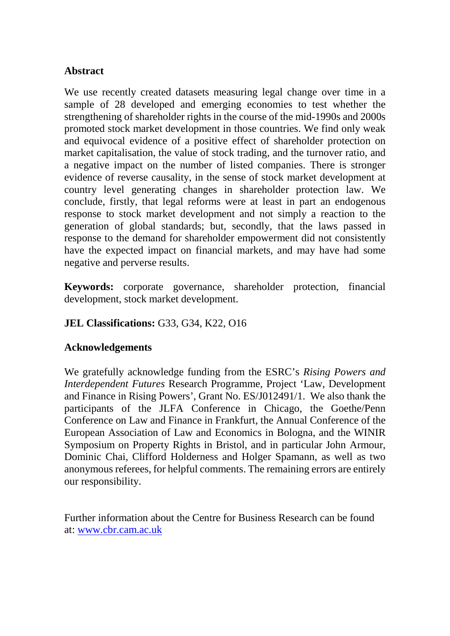## **Abstract**

We use recently created datasets measuring legal change over time in a sample of 28 developed and emerging economies to test whether the strengthening of shareholder rights in the course of the mid-1990s and 2000s promoted stock market development in those countries. We find only weak and equivocal evidence of a positive effect of shareholder protection on market capitalisation, the value of stock trading, and the turnover ratio, and a negative impact on the number of listed companies. There is stronger evidence of reverse causality, in the sense of stock market development at country level generating changes in shareholder protection law. We conclude, firstly, that legal reforms were at least in part an endogenous response to stock market development and not simply a reaction to the generation of global standards; but, secondly, that the laws passed in response to the demand for shareholder empowerment did not consistently have the expected impact on financial markets, and may have had some negative and perverse results.

**Keywords:** corporate governance, shareholder protection, financial development, stock market development.

# **JEL Classifications:** G33, G34, K22, O16

#### **Acknowledgements**

We gratefully acknowledge funding from the ESRC's *Rising Powers and Interdependent Futures* Research Programme, Project 'Law, Development and Finance in Rising Powers', Grant No. ES/J012491/1. We also thank the participants of the JLFA Conference in Chicago, the Goethe/Penn Conference on Law and Finance in Frankfurt, the Annual Conference of the European Association of Law and Economics in Bologna, and the WINIR Symposium on Property Rights in Bristol, and in particular John Armour, Dominic Chai, Clifford Holderness and Holger Spamann, as well as two anonymous referees, for helpful comments. The remaining errors are entirely our responsibility.

Further information about the Centre for Business Research can be found at: [www.cbr.cam.ac.uk](http://www.cbr.cam.ac.uk/)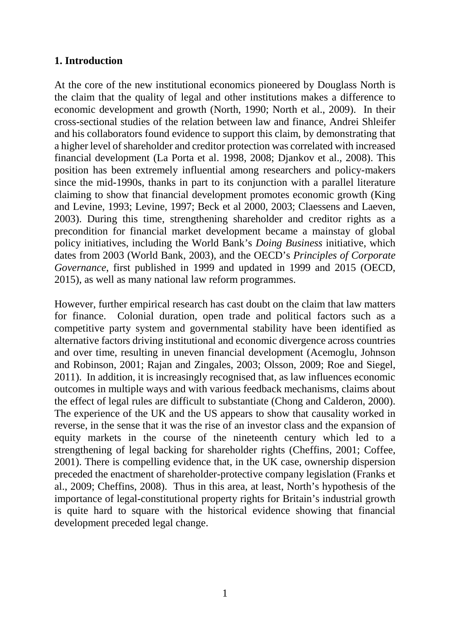#### **1. Introduction**

At the core of the new institutional economics pioneered by Douglass North is the claim that the quality of legal and other institutions makes a difference to economic development and growth (North, 1990; North et al., 2009). In their cross-sectional studies of the relation between law and finance, Andrei Shleifer and his collaborators found evidence to support this claim, by demonstrating that a higher level of shareholder and creditor protection was correlated with increased financial development (La Porta et al. 1998, 2008; Djankov et al., 2008). This position has been extremely influential among researchers and policy-makers since the mid-1990s, thanks in part to its conjunction with a parallel literature claiming to show that financial development promotes economic growth (King and Levine, 1993; Levine, 1997; Beck et al 2000, 2003; Claessens and Laeven, 2003). During this time, strengthening shareholder and creditor rights as a precondition for financial market development became a mainstay of global policy initiatives, including the World Bank's *Doing Business* initiative, which dates from 2003 (World Bank, 2003), and the OECD's *Principles of Corporate Governance*, first published in 1999 and updated in 1999 and 2015 (OECD, 2015), as well as many national law reform programmes.

However, further empirical research has cast doubt on the claim that law matters for finance. Colonial duration, open trade and political factors such as a competitive party system and governmental stability have been identified as alternative factors driving institutional and economic divergence across countries and over time, resulting in uneven financial development (Acemoglu, Johnson and Robinson, 2001; Rajan and Zingales, 2003; Olsson, 2009; Roe and Siegel, 2011). In addition, it is increasingly recognised that, as law influences economic outcomes in multiple ways and with various feedback mechanisms, claims about the effect of legal rules are difficult to substantiate (Chong and Calderon, 2000). The experience of the UK and the US appears to show that causality worked in reverse, in the sense that it was the rise of an investor class and the expansion of equity markets in the course of the nineteenth century which led to a strengthening of legal backing for shareholder rights (Cheffins, 2001; Coffee, 2001). There is compelling evidence that, in the UK case, ownership dispersion preceded the enactment of shareholder-protective company legislation (Franks et al., 2009; Cheffins, 2008). Thus in this area, at least, North's hypothesis of the importance of legal-constitutional property rights for Britain's industrial growth is quite hard to square with the historical evidence showing that financial development preceded legal change.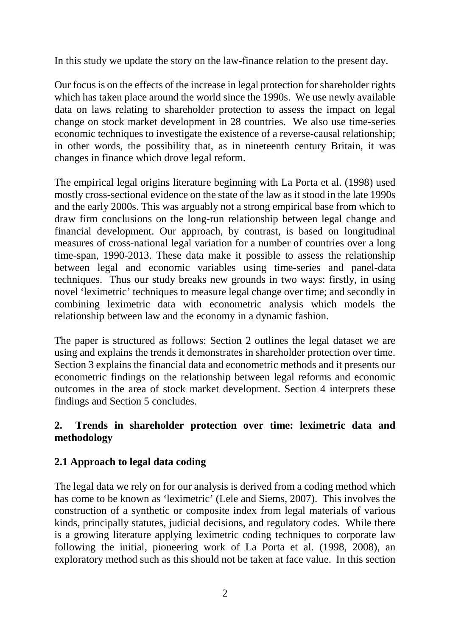In this study we update the story on the law-finance relation to the present day.

Our focus is on the effects of the increase in legal protection for shareholder rights which has taken place around the world since the 1990s. We use newly available data on laws relating to shareholder protection to assess the impact on legal change on stock market development in 28 countries. We also use time-series economic techniques to investigate the existence of a reverse-causal relationship; in other words, the possibility that, as in nineteenth century Britain, it was changes in finance which drove legal reform.

The empirical legal origins literature beginning with La Porta et al. (1998) used mostly cross-sectional evidence on the state of the law as it stood in the late 1990s and the early 2000s. This was arguably not a strong empirical base from which to draw firm conclusions on the long-run relationship between legal change and financial development. Our approach, by contrast, is based on longitudinal measures of cross-national legal variation for a number of countries over a long time-span, 1990-2013. These data make it possible to assess the relationship between legal and economic variables using time-series and panel-data techniques. Thus our study breaks new grounds in two ways: firstly, in using novel 'leximetric' techniques to measure legal change over time; and secondly in combining leximetric data with econometric analysis which models the relationship between law and the economy in a dynamic fashion.

The paper is structured as follows: Section 2 outlines the legal dataset we are using and explains the trends it demonstrates in shareholder protection over time. Section 3 explains the financial data and econometric methods and it presents our econometric findings on the relationship between legal reforms and economic outcomes in the area of stock market development. Section 4 interprets these findings and Section 5 concludes.

# **2. Trends in shareholder protection over time: leximetric data and methodology**

# **2.1 Approach to legal data coding**

The legal data we rely on for our analysis is derived from a coding method which has come to be known as 'leximetric' (Lele and Siems, 2007). This involves the construction of a synthetic or composite index from legal materials of various kinds, principally statutes, judicial decisions, and regulatory codes. While there is a growing literature applying leximetric coding techniques to corporate law following the initial, pioneering work of La Porta et al. (1998, 2008), an exploratory method such as this should not be taken at face value. In this section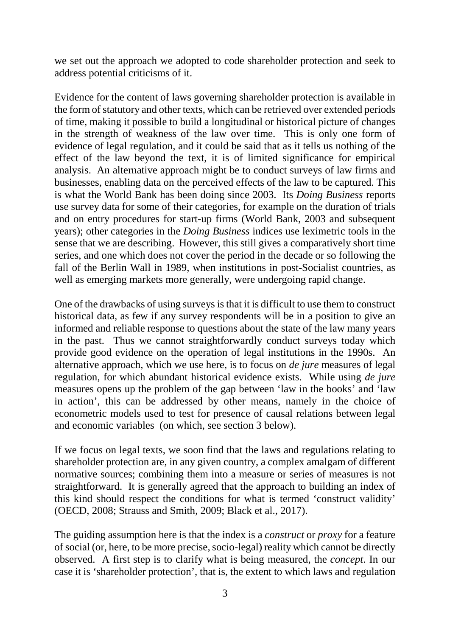we set out the approach we adopted to code shareholder protection and seek to address potential criticisms of it.

Evidence for the content of laws governing shareholder protection is available in the form of statutory and other texts, which can be retrieved over extended periods of time, making it possible to build a longitudinal or historical picture of changes in the strength of weakness of the law over time. This is only one form of evidence of legal regulation, and it could be said that as it tells us nothing of the effect of the law beyond the text, it is of limited significance for empirical analysis. An alternative approach might be to conduct surveys of law firms and businesses, enabling data on the perceived effects of the law to be captured. This is what the World Bank has been doing since 2003. Its *Doing Business* reports use survey data for some of their categories, for example on the duration of trials and on entry procedures for start-up firms (World Bank, 2003 and subsequent years); other categories in the *Doing Business* indices use leximetric tools in the sense that we are describing. However, this still gives a comparatively short time series, and one which does not cover the period in the decade or so following the fall of the Berlin Wall in 1989, when institutions in post-Socialist countries, as well as emerging markets more generally, were undergoing rapid change.

One of the drawbacks of using surveys is that it is difficult to use them to construct historical data, as few if any survey respondents will be in a position to give an informed and reliable response to questions about the state of the law many years in the past. Thus we cannot straightforwardly conduct surveys today which provide good evidence on the operation of legal institutions in the 1990s. An alternative approach, which we use here, is to focus on *de jure* measures of legal regulation, for which abundant historical evidence exists. While using *de jure* measures opens up the problem of the gap between 'law in the books' and 'law in action', this can be addressed by other means, namely in the choice of econometric models used to test for presence of causal relations between legal and economic variables (on which, see section 3 below).

If we focus on legal texts, we soon find that the laws and regulations relating to shareholder protection are, in any given country, a complex amalgam of different normative sources; combining them into a measure or series of measures is not straightforward. It is generally agreed that the approach to building an index of this kind should respect the conditions for what is termed 'construct validity' (OECD, 2008; Strauss and Smith, 2009; Black et al., 2017).

The guiding assumption here is that the index is a *construct* or *proxy* for a feature of social (or, here, to be more precise, socio-legal) reality which cannot be directly observed. A first step is to clarify what is being measured, the *concept*. In our case it is 'shareholder protection', that is, the extent to which laws and regulation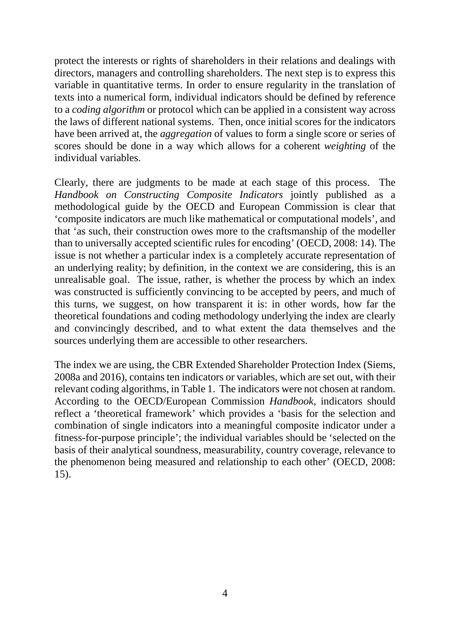protect the interests or rights of shareholders in their relations and dealings with directors, managers and controlling shareholders. The next step is to express this variable in quantitative terms. In order to ensure regularity in the translation of texts into a numerical form, individual indicators should be defined by reference to a *coding algorithm* or protocol which can be applied in a consistent way across the laws of different national systems. Then, once initial scores for the indicators have been arrived at, the *aggregation* of values to form a single score or series of scores should be done in a way which allows for a coherent *weighting* of the individual variables.

Clearly, there are judgments to be made at each stage of this process. The *Handbook on Constructing Composite Indicators* jointly published as a methodological guide by the OECD and European Commission is clear that 'composite indicators are much like mathematical or computational models', and that 'as such, their construction owes more to the craftsmanship of the modeller than to universally accepted scientific rules for encoding' (OECD, 2008: 14). The issue is not whether a particular index is a completely accurate representation of an underlying reality; by definition, in the context we are considering, this is an unrealisable goal. The issue, rather, is whether the process by which an index was constructed is sufficiently convincing to be accepted by peers, and much of this turns, we suggest, on how transparent it is: in other words, how far the theoretical foundations and coding methodology underlying the index are clearly and convincingly described, and to what extent the data themselves and the sources underlying them are accessible to other researchers.

The index we are using, the CBR Extended Shareholder Protection Index (Siems, 2008a and 2016), contains ten indicators or variables, which are set out, with their relevant coding algorithms, in Table 1. The indicators were not chosen at random. According to the OECD/European Commission *Handbook*, indicators should reflect a 'theoretical framework' which provides a 'basis for the selection and combination of single indicators into a meaningful composite indicator under a fitness-for-purpose principle'; the individual variables should be 'selected on the basis of their analytical soundness, measurability, country coverage, relevance to the phenomenon being measured and relationship to each other' (OECD, 2008: 15).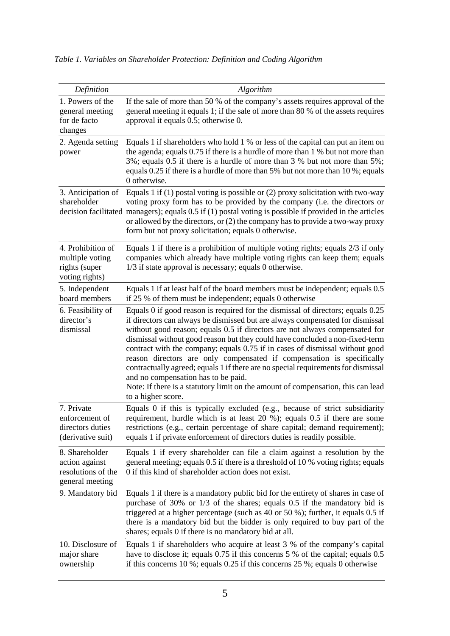| Definition                                                                | Algorithm                                                                                                                                                                                                                                                                                                                                                                                                                                                                                                                                                                                                                                                                                                                      |
|---------------------------------------------------------------------------|--------------------------------------------------------------------------------------------------------------------------------------------------------------------------------------------------------------------------------------------------------------------------------------------------------------------------------------------------------------------------------------------------------------------------------------------------------------------------------------------------------------------------------------------------------------------------------------------------------------------------------------------------------------------------------------------------------------------------------|
| 1. Powers of the<br>general meeting<br>for de facto<br>changes            | If the sale of more than 50 % of the company's assets requires approval of the<br>general meeting it equals 1; if the sale of more than 80 % of the assets requires<br>approval it equals 0.5; otherwise 0.                                                                                                                                                                                                                                                                                                                                                                                                                                                                                                                    |
| 2. Agenda setting<br>power                                                | Equals 1 if shareholders who hold 1 % or less of the capital can put an item on<br>the agenda; equals 0.75 if there is a hurdle of more than 1 % but not more than<br>3%; equals 0.5 if there is a hurdle of more than 3 % but not more than 5%;<br>equals 0.25 if there is a hurdle of more than 5% but not more than 10%; equals<br>0 otherwise.                                                                                                                                                                                                                                                                                                                                                                             |
| 3. Anticipation of<br>shareholder                                         | Equals 1 if (1) postal voting is possible or (2) proxy solicitation with two-way<br>voting proxy form has to be provided by the company (i.e. the directors or<br>decision facilitated managers); equals 0.5 if (1) postal voting is possible if provided in the articles<br>or allowed by the directors, or $(2)$ the company has to provide a two-way proxy<br>form but not proxy solicitation; equals 0 otherwise.                                                                                                                                                                                                                                                                                                          |
| 4. Prohibition of<br>multiple voting<br>rights (super<br>voting rights)   | Equals 1 if there is a prohibition of multiple voting rights; equals $2/3$ if only<br>companies which already have multiple voting rights can keep them; equals<br>1/3 if state approval is necessary; equals 0 otherwise.                                                                                                                                                                                                                                                                                                                                                                                                                                                                                                     |
| 5. Independent<br>board members                                           | Equals 1 if at least half of the board members must be independent; equals 0.5<br>if 25 % of them must be independent; equals 0 otherwise                                                                                                                                                                                                                                                                                                                                                                                                                                                                                                                                                                                      |
| 6. Feasibility of<br>director's<br>dismissal                              | Equals 0 if good reason is required for the dismissal of directors; equals 0.25<br>if directors can always be dismissed but are always compensated for dismissal<br>without good reason; equals 0.5 if directors are not always compensated for<br>dismissal without good reason but they could have concluded a non-fixed-term<br>contract with the company; equals 0.75 if in cases of dismissal without good<br>reason directors are only compensated if compensation is specifically<br>contractually agreed; equals 1 if there are no special requirements for dismissal<br>and no compensation has to be paid.<br>Note: If there is a statutory limit on the amount of compensation, this can lead<br>to a higher score. |
| 7. Private<br>enforcement of<br>directors duties<br>(derivative suit)     | Equals 0 if this is typically excluded (e.g., because of strict subsidiarity<br>requirement, hurdle which is at least 20 %); equals 0.5 if there are some<br>restrictions (e.g., certain percentage of share capital; demand requirement);<br>equals 1 if private enforcement of directors duties is readily possible.                                                                                                                                                                                                                                                                                                                                                                                                         |
| 8. Shareholder<br>action against<br>resolutions of the<br>general meeting | Equals 1 if every shareholder can file a claim against a resolution by the<br>general meeting; equals 0.5 if there is a threshold of 10 % voting rights; equals<br>0 if this kind of shareholder action does not exist.                                                                                                                                                                                                                                                                                                                                                                                                                                                                                                        |
| 9. Mandatory bid                                                          | Equals 1 if there is a mandatory public bid for the entirety of shares in case of<br>purchase of 30% or $1/3$ of the shares; equals 0.5 if the mandatory bid is<br>triggered at a higher percentage (such as $40$ or $50$ %); further, it equals 0.5 if<br>there is a mandatory bid but the bidder is only required to buy part of the<br>shares; equals 0 if there is no mandatory bid at all.                                                                                                                                                                                                                                                                                                                                |
| 10. Disclosure of<br>major share<br>ownership                             | Equals 1 if shareholders who acquire at least 3 % of the company's capital<br>have to disclose it; equals 0.75 if this concerns 5 % of the capital; equals 0.5<br>if this concerns 10 %; equals $0.25$ if this concerns 25 %; equals 0 otherwise                                                                                                                                                                                                                                                                                                                                                                                                                                                                               |

*Table 1. Variables on Shareholder Protection: Definition and Coding Algorithm*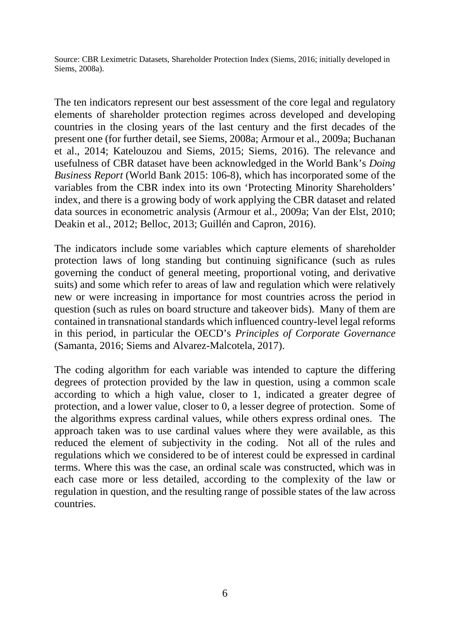Source: CBR Leximetric Datasets, Shareholder Protection Index (Siems, 2016; initially developed in Siems, 2008a).

The ten indicators represent our best assessment of the core legal and regulatory elements of shareholder protection regimes across developed and developing countries in the closing years of the last century and the first decades of the present one (for further detail, see Siems, 2008a; Armour et al., 2009a; Buchanan et al., 2014; Katelouzou and Siems, 2015; Siems, 2016). The relevance and usefulness of CBR dataset have been acknowledged in the World Bank's *Doing Business Report* (World Bank 2015: 106-8), which has incorporated some of the variables from the CBR index into its own 'Protecting Minority Shareholders' index, and there is a growing body of work applying the CBR dataset and related data sources in econometric analysis (Armour et al., 2009a; Van der Elst, 2010; Deakin et al., 2012; Belloc, 2013; Guillén and Capron, 2016).

The indicators include some variables which capture elements of shareholder protection laws of long standing but continuing significance (such as rules governing the conduct of general meeting, proportional voting, and derivative suits) and some which refer to areas of law and regulation which were relatively new or were increasing in importance for most countries across the period in question (such as rules on board structure and takeover bids). Many of them are contained in transnational standards which influenced country-level legal reforms in this period, in particular the OECD's *Principles of Corporate Governance* (Samanta, 2016; Siems and Alvarez-Malcotela, 2017).

The coding algorithm for each variable was intended to capture the differing degrees of protection provided by the law in question, using a common scale according to which a high value, closer to 1, indicated a greater degree of protection, and a lower value, closer to 0, a lesser degree of protection. Some of the algorithms express cardinal values, while others express ordinal ones. The approach taken was to use cardinal values where they were available, as this reduced the element of subjectivity in the coding. Not all of the rules and regulations which we considered to be of interest could be expressed in cardinal terms. Where this was the case, an ordinal scale was constructed, which was in each case more or less detailed, according to the complexity of the law or regulation in question, and the resulting range of possible states of the law across countries.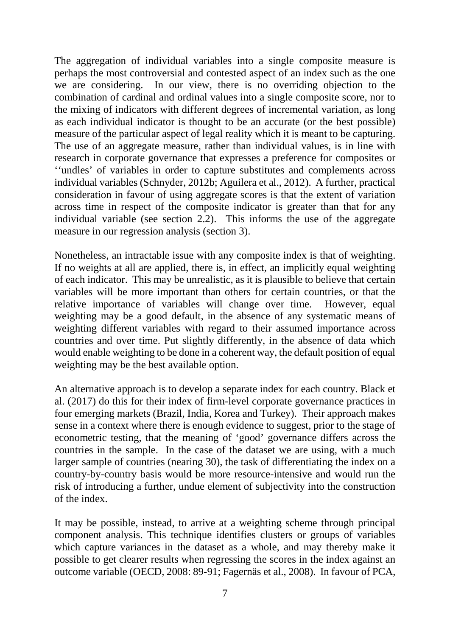The aggregation of individual variables into a single composite measure is perhaps the most controversial and contested aspect of an index such as the one we are considering. In our view, there is no overriding objection to the combination of cardinal and ordinal values into a single composite score, nor to the mixing of indicators with different degrees of incremental variation, as long as each individual indicator is thought to be an accurate (or the best possible) measure of the particular aspect of legal reality which it is meant to be capturing. The use of an aggregate measure, rather than individual values, is in line with research in corporate governance that expresses a preference for composites or ''undles' of variables in order to capture substitutes and complements across individual variables (Schnyder, 2012b; Aguilera et al., 2012). A further, practical consideration in favour of using aggregate scores is that the extent of variation across time in respect of the composite indicator is greater than that for any individual variable (see section 2.2). This informs the use of the aggregate measure in our regression analysis (section 3).

Nonetheless, an intractable issue with any composite index is that of weighting. If no weights at all are applied, there is, in effect, an implicitly equal weighting of each indicator. This may be unrealistic, as it is plausible to believe that certain variables will be more important than others for certain countries, or that the relative importance of variables will change over time. However, equal weighting may be a good default, in the absence of any systematic means of weighting different variables with regard to their assumed importance across countries and over time. Put slightly differently, in the absence of data which would enable weighting to be done in a coherent way, the default position of equal weighting may be the best available option.

An alternative approach is to develop a separate index for each country. Black et al. (2017) do this for their index of firm-level corporate governance practices in four emerging markets (Brazil, India, Korea and Turkey). Their approach makes sense in a context where there is enough evidence to suggest, prior to the stage of econometric testing, that the meaning of 'good' governance differs across the countries in the sample. In the case of the dataset we are using, with a much larger sample of countries (nearing 30), the task of differentiating the index on a country-by-country basis would be more resource-intensive and would run the risk of introducing a further, undue element of subjectivity into the construction of the index.

It may be possible, instead, to arrive at a weighting scheme through principal component analysis. This technique identifies clusters or groups of variables which capture variances in the dataset as a whole, and may thereby make it possible to get clearer results when regressing the scores in the index against an outcome variable (OECD, 2008: 89-91; Fagernäs et al., 2008). In favour of PCA,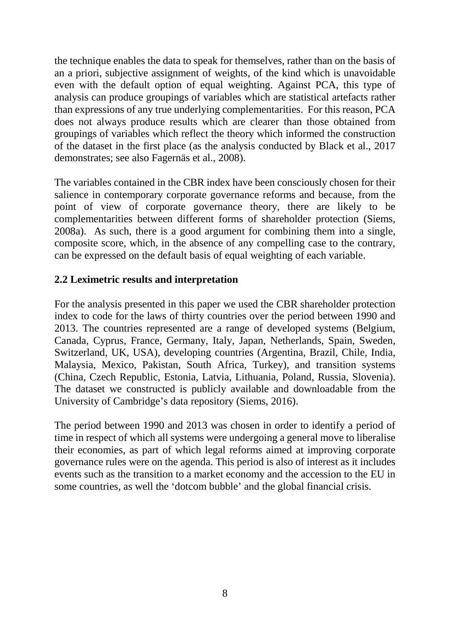the technique enables the data to speak for themselves, rather than on the basis of an a priori, subjective assignment of weights, of the kind which is unavoidable even with the default option of equal weighting. Against PCA, this type of analysis can produce groupings of variables which are statistical artefacts rather than expressions of any true underlying complementarities. For this reason, PCA does not always produce results which are clearer than those obtained from groupings of variables which reflect the theory which informed the construction of the dataset in the first place (as the analysis conducted by Black et al., 2017 demonstrates; see also Fagernäs et al., 2008).

The variables contained in the CBR index have been consciously chosen for their salience in contemporary corporate governance reforms and because, from the point of view of corporate governance theory, there are likely to be complementarities between different forms of shareholder protection (Siems, 2008a). As such, there is a good argument for combining them into a single, composite score, which, in the absence of any compelling case to the contrary, can be expressed on the default basis of equal weighting of each variable.

# **2.2 Leximetric results and interpretation**

For the analysis presented in this paper we used the CBR shareholder protection index to code for the laws of thirty countries over the period between 1990 and 2013. The countries represented are a range of developed systems (Belgium, Canada, Cyprus, France, Germany, Italy, Japan, Netherlands, Spain, Sweden, Switzerland, UK, USA), developing countries (Argentina, Brazil, Chile, India, Malaysia, Mexico, Pakistan, South Africa, Turkey), and transition systems (China, Czech Republic, Estonia, Latvia, Lithuania, Poland, Russia, Slovenia). The dataset we constructed is publicly available and downloadable from the University of Cambridge's data repository (Siems, 2016).

The period between 1990 and 2013 was chosen in order to identify a period of time in respect of which all systems were undergoing a general move to liberalise their economies, as part of which legal reforms aimed at improving corporate governance rules were on the agenda. This period is also of interest as it includes events such as the transition to a market economy and the accession to the EU in some countries, as well the 'dotcom bubble' and the global financial crisis.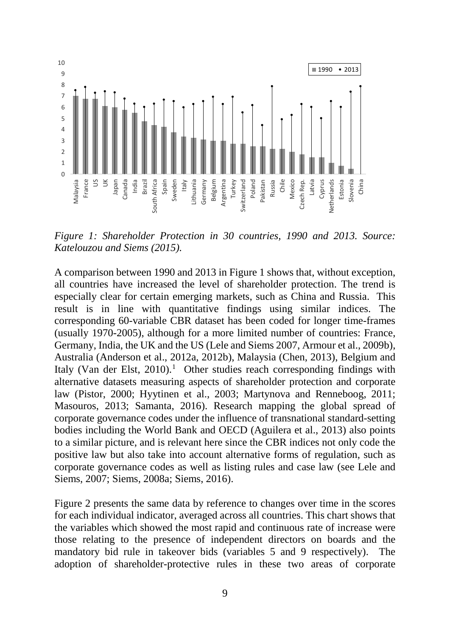

*Figure 1: Shareholder Protection in 30 countries, 1990 and 2013. Source: Katelouzou and Siems (2015).*

A comparison between 1990 and 2013 in Figure 1 shows that, without exception, all countries have increased the level of shareholder protection. The trend is especially clear for certain emerging markets, such as China and Russia. This result is in line with quantitative findings using similar indices. The corresponding 60-variable CBR dataset has been coded for longer time-frames (usually 1970-2005), although for a more limited number of countries: France, Germany, India, the UK and the US (Lele and Siems 2007, Armour et al., 2009b), Australia (Anderson et al., 2012a, 2012b), Malaysia (Chen, 2013), Belgium and Italy (Van der Elst, 20[1](#page-41-0)0).<sup>1</sup> Other studies reach corresponding findings with alternative datasets measuring aspects of shareholder protection and corporate law (Pistor, 2000; Hyytinen et al., 2003; Martynova and Renneboog, 2011; Masouros, 2013; Samanta, 2016). Research mapping the global spread of corporate governance codes under the influence of transnational standard-setting bodies including the World Bank and OECD (Aguilera et al., 2013) also points to a similar picture, and is relevant here since the CBR indices not only code the positive law but also take into account alternative forms of regulation, such as corporate governance codes as well as listing rules and case law (see Lele and Siems, 2007; Siems, 2008a; Siems, 2016).

Figure 2 presents the same data by reference to changes over time in the scores for each individual indicator, averaged across all countries. This chart shows that the variables which showed the most rapid and continuous rate of increase were those relating to the presence of independent directors on boards and the mandatory bid rule in takeover bids (variables 5 and 9 respectively). The adoption of shareholder-protective rules in these two areas of corporate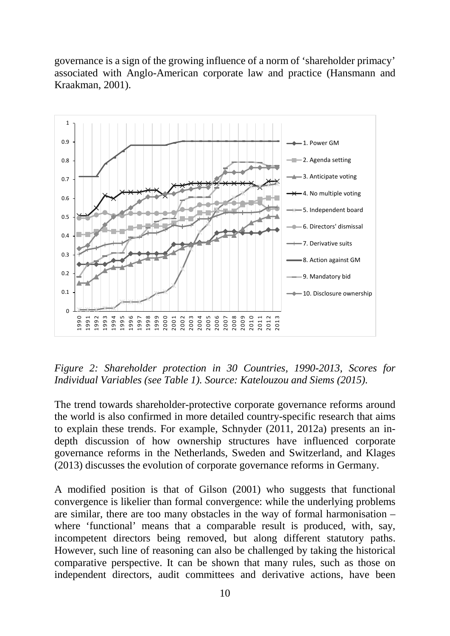governance is a sign of the growing influence of a norm of 'shareholder primacy' associated with Anglo-American corporate law and practice (Hansmann and Kraakman, 2001).



*Figure 2: Shareholder protection in 30 Countries, 1990-2013, Scores for Individual Variables (see Table 1). Source: Katelouzou and Siems (2015).*

The trend towards shareholder-protective corporate governance reforms around the world is also confirmed in more detailed country-specific research that aims to explain these trends. For example, Schnyder (2011, 2012a) presents an indepth discussion of how ownership structures have influenced corporate governance reforms in the Netherlands, Sweden and Switzerland, and Klages (2013) discusses the evolution of corporate governance reforms in Germany.

A modified position is that of Gilson (2001) who suggests that functional convergence is likelier than formal convergence: while the underlying problems are similar, there are too many obstacles in the way of formal harmonisation – where 'functional' means that a comparable result is produced, with, say, incompetent directors being removed, but along different statutory paths. However, such line of reasoning can also be challenged by taking the historical comparative perspective. It can be shown that many rules, such as those on independent directors, audit committees and derivative actions, have been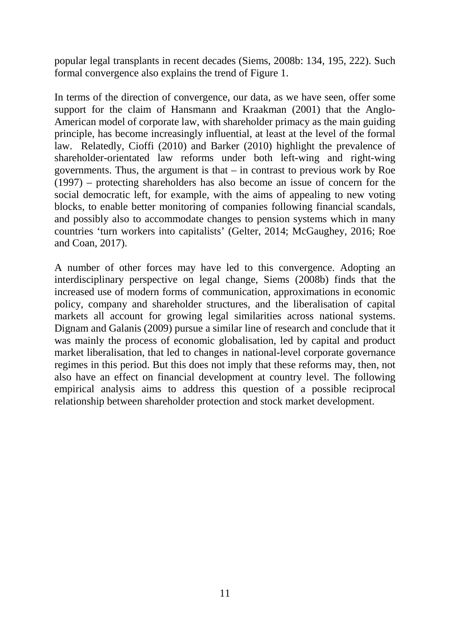popular legal transplants in recent decades (Siems, 2008b: 134, 195, 222). Such formal convergence also explains the trend of Figure 1.

In terms of the direction of convergence, our data, as we have seen, offer some support for the claim of Hansmann and Kraakman (2001) that the Anglo-American model of corporate law, with shareholder primacy as the main guiding principle, has become increasingly influential, at least at the level of the formal law. Relatedly, Cioffi (2010) and Barker (2010) highlight the prevalence of shareholder-orientated law reforms under both left-wing and right-wing governments. Thus, the argument is that – in contrast to previous work by Roe (1997) – protecting shareholders has also become an issue of concern for the social democratic left, for example, with the aims of appealing to new voting blocks, to enable better monitoring of companies following financial scandals, and possibly also to accommodate changes to pension systems which in many countries 'turn workers into capitalists' (Gelter, 2014; McGaughey, 2016; Roe and Coan, 2017).

A number of other forces may have led to this convergence. Adopting an interdisciplinary perspective on legal change, Siems (2008b) finds that the increased use of modern forms of communication, approximations in economic policy, company and shareholder structures, and the liberalisation of capital markets all account for growing legal similarities across national systems. Dignam and Galanis (2009) pursue a similar line of research and conclude that it was mainly the process of economic globalisation, led by capital and product market liberalisation, that led to changes in national-level corporate governance regimes in this period. But this does not imply that these reforms may, then, not also have an effect on financial development at country level. The following empirical analysis aims to address this question of a possible reciprocal relationship between shareholder protection and stock market development.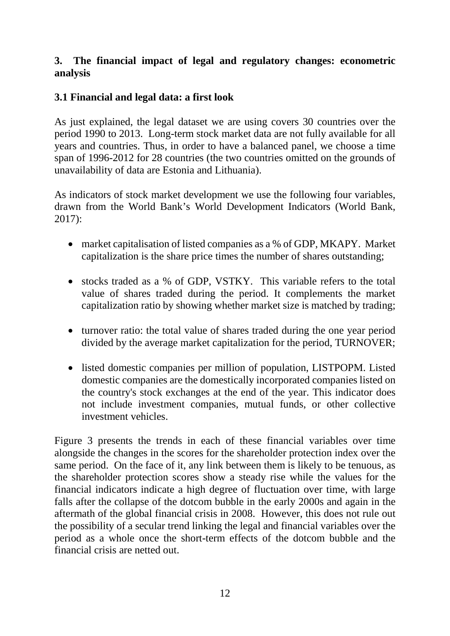# **3. The financial impact of legal and regulatory changes: econometric analysis**

# **3.1 Financial and legal data: a first look**

As just explained, the legal dataset we are using covers 30 countries over the period 1990 to 2013. Long-term stock market data are not fully available for all years and countries. Thus, in order to have a balanced panel, we choose a time span of 1996-2012 for 28 countries (the two countries omitted on the grounds of unavailability of data are Estonia and Lithuania).

As indicators of stock market development we use the following four variables, drawn from the World Bank's World Development Indicators (World Bank, 2017):

- market capitalisation of listed companies as a % of GDP, MKAPY. Market capitalization is the share price times the number of shares outstanding;
- stocks traded as a % of GDP, VSTKY. This variable refers to the total value of shares traded during the period. It complements the market capitalization ratio by showing whether market size is matched by trading;
- turnover ratio: the total value of shares traded during the one year period divided by the average market capitalization for the period, TURNOVER;
- listed domestic companies per million of population, LISTPOPM. Listed domestic companies are the domestically incorporated companies listed on the country's stock exchanges at the end of the year. This indicator does not include investment companies, mutual funds, or other collective investment vehicles.

Figure 3 presents the trends in each of these financial variables over time alongside the changes in the scores for the shareholder protection index over the same period. On the face of it, any link between them is likely to be tenuous, as the shareholder protection scores show a steady rise while the values for the financial indicators indicate a high degree of fluctuation over time, with large falls after the collapse of the dotcom bubble in the early 2000s and again in the aftermath of the global financial crisis in 2008. However, this does not rule out the possibility of a secular trend linking the legal and financial variables over the period as a whole once the short-term effects of the dotcom bubble and the financial crisis are netted out.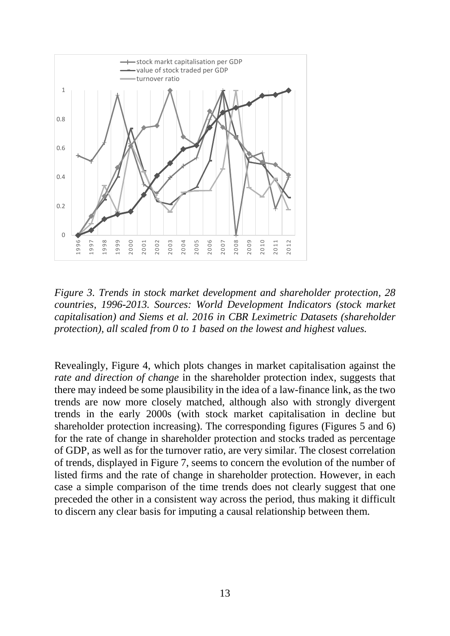

*Figure 3. Trends in stock market development and shareholder protection, 28 countries, 1996-2013. Sources: World Development Indicators (stock market capitalisation) and Siems et al. 2016 in CBR Leximetric Datasets (shareholder protection), all scaled from 0 to 1 based on the lowest and highest values.*

Revealingly, Figure 4, which plots changes in market capitalisation against the *rate and direction of change* in the shareholder protection index, suggests that there may indeed be some plausibility in the idea of a law-finance link, as the two trends are now more closely matched, although also with strongly divergent trends in the early 2000s (with stock market capitalisation in decline but shareholder protection increasing). The corresponding figures (Figures 5 and 6) for the rate of change in shareholder protection and stocks traded as percentage of GDP, as well as for the turnover ratio, are very similar. The closest correlation of trends, displayed in Figure 7, seems to concern the evolution of the number of listed firms and the rate of change in shareholder protection. However, in each case a simple comparison of the time trends does not clearly suggest that one preceded the other in a consistent way across the period, thus making it difficult to discern any clear basis for imputing a causal relationship between them.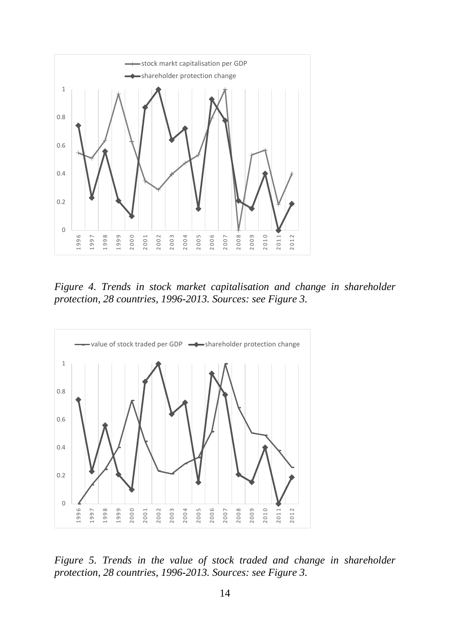

*Figure 4. Trends in stock market capitalisation and change in shareholder protection, 28 countries, 1996-2013. Sources: see Figure 3.*



*Figure 5. Trends in the value of stock traded and change in shareholder protection, 28 countries, 1996-2013. Sources: see Figure 3.*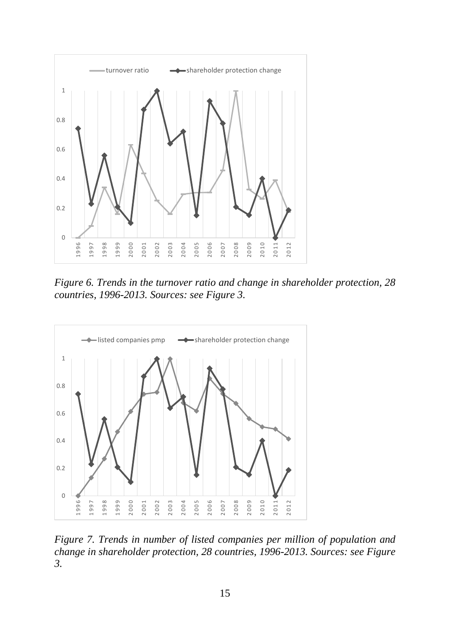

*Figure 6. Trends in the turnover ratio and change in shareholder protection, 28 countries, 1996-2013. Sources: see Figure 3.*



*Figure 7. Trends in number of listed companies per million of population and change in shareholder protection, 28 countries, 1996-2013. Sources: see Figure 3.*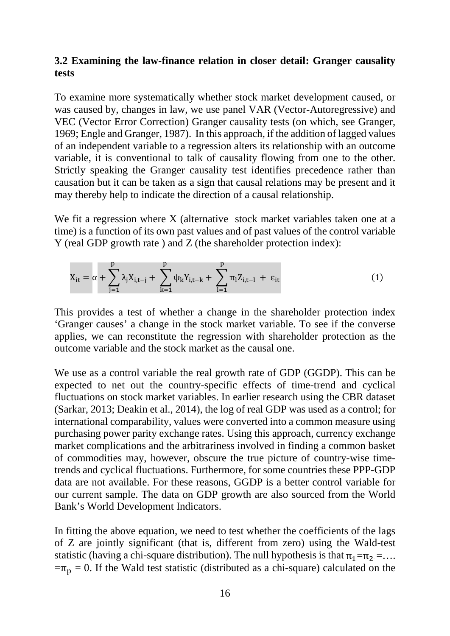## **3.2 Examining the law-finance relation in closer detail: Granger causality tests**

To examine more systematically whether stock market development caused, or was caused by, changes in law, we use panel VAR (Vector-Autoregressive) and VEC (Vector Error Correction) Granger causality tests (on which, see Granger, 1969; Engle and Granger, 1987). In this approach, if the addition of lagged values of an independent variable to a regression alters its relationship with an outcome variable, it is conventional to talk of causality flowing from one to the other. Strictly speaking the Granger causality test identifies precedence rather than causation but it can be taken as a sign that causal relations may be present and it may thereby help to indicate the direction of a causal relationship.

We fit a regression where X (alternative stock market variables taken one at a time) is a function of its own past values and of past values of the control variable Y (real GDP growth rate ) and Z (the shareholder protection index):

$$
X_{it} = \alpha + \sum_{j=1}^{p} \lambda_j X_{i,t-j} + \sum_{k=1}^{p} \psi_k Y_{i,t-k} + \sum_{l=1}^{p} \pi_l Z_{i,t-l} + \varepsilon_{it}
$$
(1)

This provides a test of whether a change in the shareholder protection index 'Granger causes' a change in the stock market variable. To see if the converse applies, we can reconstitute the regression with shareholder protection as the outcome variable and the stock market as the causal one.

We use as a control variable the real growth rate of GDP (GGDP). This can be expected to net out the country-specific effects of time-trend and cyclical fluctuations on stock market variables. In earlier research using the CBR dataset (Sarkar, 2013; Deakin et al., 2014), the log of real GDP was used as a control; for international comparability, values were converted into a common measure using purchasing power parity exchange rates. Using this approach, currency exchange market complications and the arbitrariness involved in finding a common basket of commodities may, however, obscure the true picture of country-wise timetrends and cyclical fluctuations. Furthermore, for some countries these PPP-GDP data are not available. For these reasons, GGDP is a better control variable for our current sample. The data on GDP growth are also sourced from the World Bank's World Development Indicators.

In fitting the above equation, we need to test whether the coefficients of the lags of Z are jointly significant (that is, different from zero) using the Wald-test statistic (having a chi-square distribution). The null hypothesis is that  $\pi_1 = \pi_2 = \dots$  $=\pi_p = 0$ . If the Wald test statistic (distributed as a chi-square) calculated on the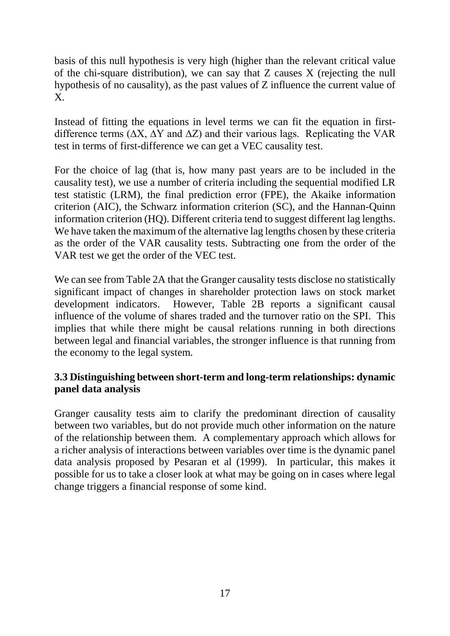basis of this null hypothesis is very high (higher than the relevant critical value of the chi-square distribution), we can say that Z causes X (rejecting the null hypothesis of no causality), as the past values of Z influence the current value of X.

Instead of fitting the equations in level terms we can fit the equation in firstdifference terms ( $\Delta X$ ,  $\Delta Y$  and  $\Delta Z$ ) and their various lags. Replicating the VAR test in terms of first-difference we can get a VEC causality test.

For the choice of lag (that is, how many past years are to be included in the causality test), we use a number of criteria including the sequential modified LR test statistic (LRM), the final prediction error (FPE), the Akaike information criterion (AIC), the Schwarz information criterion (SC), and the Hannan-Quinn information criterion (HQ). Different criteria tend to suggest different lag lengths. We have taken the maximum of the alternative lag lengths chosen by these criteria as the order of the VAR causality tests. Subtracting one from the order of the VAR test we get the order of the VEC test.

We can see from Table 2A that the Granger causality tests disclose no statistically significant impact of changes in shareholder protection laws on stock market development indicators. However, Table 2B reports a significant causal influence of the volume of shares traded and the turnover ratio on the SPI. This implies that while there might be causal relations running in both directions between legal and financial variables, the stronger influence is that running from the economy to the legal system.

## **3.3 Distinguishing between short-term and long-term relationships: dynamic panel data analysis**

Granger causality tests aim to clarify the predominant direction of causality between two variables, but do not provide much other information on the nature of the relationship between them. A complementary approach which allows for a richer analysis of interactions between variables over time is the dynamic panel data analysis proposed by Pesaran et al (1999). In particular, this makes it possible for us to take a closer look at what may be going on in cases where legal change triggers a financial response of some kind.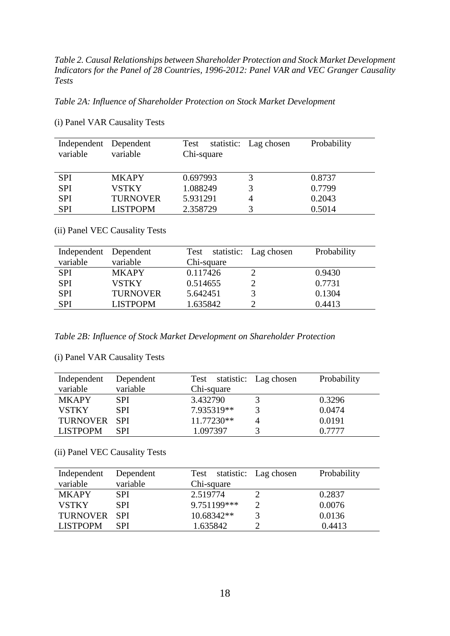*Table 2. Causal Relationships between Shareholder Protection and Stock Market Development Indicators for the Panel of 28 Countries, 1996-2012: Panel VAR and VEC Granger Causality Tests*

*Table 2A: Influence of Shareholder Protection on Stock Market Development*

| Independent Dependent<br>variable | variable        | Test<br>Chi-square | statistic: Lag chosen | Probability |
|-----------------------------------|-----------------|--------------------|-----------------------|-------------|
| <b>SPI</b>                        | <b>MKAPY</b>    | 0.697993           |                       | 0.8737      |
| <b>SPI</b>                        | <b>VSTKY</b>    | 1.088249           |                       | 0.7799      |
| <b>SPI</b>                        | <b>TURNOVER</b> | 5.931291           |                       | 0.2043      |
| <b>SPI</b>                        | <b>LISTPOPM</b> | 2.358729           |                       | 0.5014      |

(i) Panel VAR Causality Tests

(ii) Panel VEC Causality Tests

| Independent Dependent |                 | Test statistic: Lag chosen | Probability |
|-----------------------|-----------------|----------------------------|-------------|
| variable              | variable        | Chi-square                 |             |
| <b>SPI</b>            | <b>MKAPY</b>    | 0.117426                   | 0.9430      |
| <b>SPI</b>            | <b>VSTKY</b>    | 0.514655                   | 0.7731      |
| <b>SPI</b>            | <b>TURNOVER</b> | 5.642451                   | 0.1304      |
| <b>SPI</b>            | <b>LISTPOPM</b> | 1.635842                   | 0.4413      |

*Table 2B: Influence of Stock Market Development on Shareholder Protection*

(i) Panel VAR Causality Tests

| Independent     | Dependent  | Test statistic: Lag chosen | Probability |
|-----------------|------------|----------------------------|-------------|
| variable        | variable   | Chi-square                 |             |
| <b>MKAPY</b>    | <b>SPI</b> | 3.432790                   | 0.3296      |
| <b>VSTKY</b>    | <b>SPI</b> | 7.935319**                 | 0.0474      |
| <b>TURNOVER</b> | -SPI       | 11.77230**                 | 0.0191      |
| <b>LISTPOPM</b> | <b>SPI</b> | 1.097397                   | 0.7777      |

(ii) Panel VEC Causality Tests

| Independent     | Dependent  | Test statistic: Lag chosen | Probability |
|-----------------|------------|----------------------------|-------------|
| variable        | variable   | Chi-square                 |             |
| <b>MKAPY</b>    | <b>SPI</b> | 2.519774                   | 0.2837      |
| <b>VSTKY</b>    | <b>SPI</b> | 9.751199***                | 0.0076      |
| TURNOVER SPI    |            | 10.68342**                 | 0.0136      |
| <b>LISTPOPM</b> | <b>SPI</b> | 1.635842                   | 0.4413      |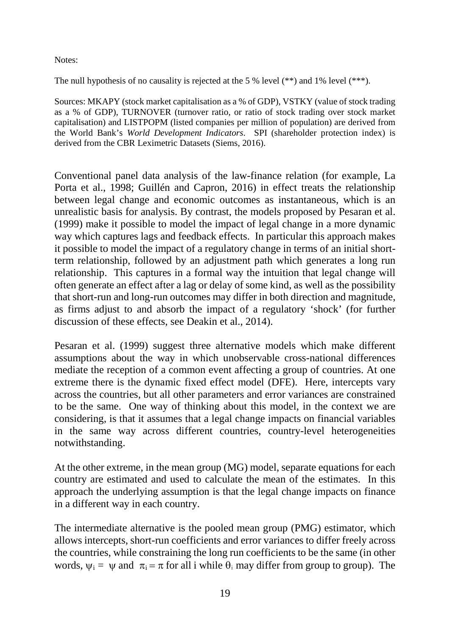Notes:

The null hypothesis of no causality is rejected at the 5 % level (\*\*) and 1% level (\*\*\*).

Sources: MKAPY (stock market capitalisation as a % of GDP), VSTKY (value of stock trading as a % of GDP), TURNOVER (turnover ratio, or ratio of stock trading over stock market capitalisation) and LISTPOPM (listed companies per million of population) are derived from the World Bank's *World Development Indicators*. SPI (shareholder protection index) is derived from the CBR Leximetric Datasets (Siems, 2016).

Conventional panel data analysis of the law-finance relation (for example, La Porta et al., 1998; Guillén and Capron, 2016) in effect treats the relationship between legal change and economic outcomes as instantaneous, which is an unrealistic basis for analysis. By contrast, the models proposed by Pesaran et al. (1999) make it possible to model the impact of legal change in a more dynamic way which captures lags and feedback effects. In particular this approach makes it possible to model the impact of a regulatory change in terms of an initial shortterm relationship, followed by an adjustment path which generates a long run relationship. This captures in a formal way the intuition that legal change will often generate an effect after a lag or delay of some kind, as well as the possibility that short-run and long-run outcomes may differ in both direction and magnitude, as firms adjust to and absorb the impact of a regulatory 'shock' (for further discussion of these effects, see Deakin et al., 2014).

Pesaran et al. (1999) suggest three alternative models which make different assumptions about the way in which unobservable cross-national differences mediate the reception of a common event affecting a group of countries. At one extreme there is the dynamic fixed effect model (DFE). Here, intercepts vary across the countries, but all other parameters and error variances are constrained to be the same. One way of thinking about this model, in the context we are considering, is that it assumes that a legal change impacts on financial variables in the same way across different countries, country-level heterogeneities notwithstanding.

At the other extreme, in the mean group (MG) model, separate equations for each country are estimated and used to calculate the mean of the estimates. In this approach the underlying assumption is that the legal change impacts on finance in a different way in each country.

The intermediate alternative is the pooled mean group (PMG) estimator, which allows intercepts, short-run coefficients and error variances to differ freely across the countries, while constraining the long run coefficients to be the same (in other words,  $\psi_i = \psi$  and  $\pi_i = \pi$  for all i while  $\theta_i$  may differ from group to group). The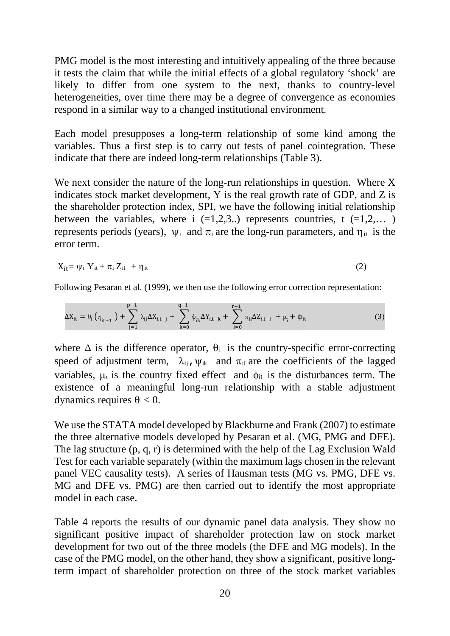PMG model is the most interesting and intuitively appealing of the three because it tests the claim that while the initial effects of a global regulatory 'shock' are likely to differ from one system to the next, thanks to country-level heterogeneities, over time there may be a degree of convergence as economies respond in a similar way to a changed institutional environment.

Each model presupposes a long-term relationship of some kind among the variables. Thus a first step is to carry out tests of panel cointegration. These indicate that there are indeed long-term relationships (Table 3).

We next consider the nature of the long-run relationships in question. Where X indicates stock market development, Y is the real growth rate of GDP, and Z is the shareholder protection index, SPI, we have the following initial relationship between the variables, where  $i$  (=1,2,3..) represents countries, t (=1,2,...) represents periods (years),  $\psi_i$  and  $\pi_i$  are the long-run parameters, and  $\eta_{it}$  is the error term.

$$
X_{it} = \psi_i Y_{it} + \pi_i Z_{it} + \eta_{it}
$$
 (2)

Following Pesaran et al. (1999), we then use the following error correction representation:

$$
\Delta X_{it} = \theta_i \left( \eta_{it-1} \right) + \sum_{j=1}^{p-1} \lambda_{ij} \Delta X_{i,t-j} + \sum_{k=0}^{q-1} \psi_{ik} \Delta Y_{i,t-k} + \sum_{l=0}^{r-1} \pi_{il} \Delta Z_{i,t-l} + \mu_i + \phi_{it} \tag{3}
$$

where  $\Delta$  is the difference operator,  $\theta_i$  is the country-specific error-correcting speed of adjustment term,  $\lambda_{ii}$ ,  $\psi_{ik}$  and  $\pi_{il}$  are the coefficients of the lagged variables,  $\mu_i$  is the country fixed effect and  $\phi_{it}$  is the disturbances term. The existence of a meaningful long-run relationship with a stable adjustment dynamics requires  $\theta_i < 0$ .

We use the STATA model developed by Blackburne and Frank (2007) to estimate the three alternative models developed by Pesaran et al. (MG, PMG and DFE). The lag structure (p, q, r) is determined with the help of the Lag Exclusion Wald Test for each variable separately (within the maximum lags chosen in the relevant panel VEC causality tests). A series of Hausman tests (MG vs. PMG, DFE vs. MG and DFE vs. PMG) are then carried out to identify the most appropriate model in each case.

Table 4 reports the results of our dynamic panel data analysis. They show no significant positive impact of shareholder protection law on stock market development for two out of the three models (the DFE and MG models). In the case of the PMG model, on the other hand, they show a significant, positive longterm impact of shareholder protection on three of the stock market variables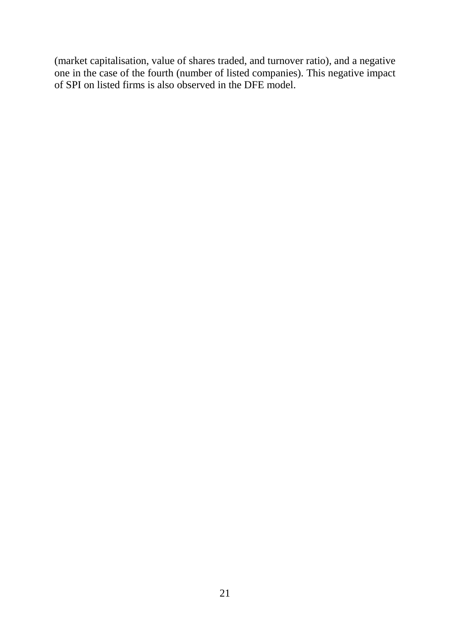(market capitalisation, value of shares traded, and turnover ratio), and a negative one in the case of the fourth (number of listed companies). This negative impact of SPI on listed firms is also observed in the DFE model.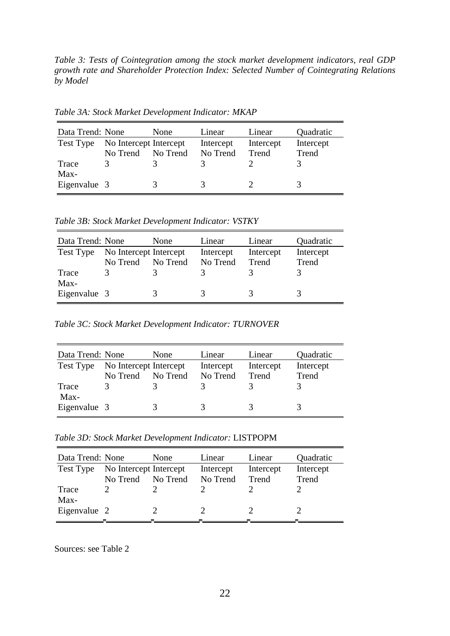*Table 3: Tests of Cointegration among the stock market development indicators, real GDP growth rate and Shareholder Protection Index: Selected Number of Cointegrating Relations by Model*

Data Trend: None None Linear Linear Quadratic Test Type No Intercept Intercept Intercept Intercept Intercept No Trend No Trend No Trend Trend Trend Trace 3 3 3 2 3 Max-

Eigenvalue  $3$   $3$   $3$   $2$   $3$ 

*Table 3A: Stock Market Development Indicator: MKAP*

*Table 3B: Stock Market Development Indicator: VSTKY*

| Data Trend: None |                        | None     | Linear    | Linear    | Quadratic |
|------------------|------------------------|----------|-----------|-----------|-----------|
| Test Type        | No Intercept Intercept |          | Intercept | Intercept | Intercept |
|                  | No Trend               | No Trend | No Trend  | Trend     | Trend     |
| Trace            |                        |          |           |           |           |
| Max-             |                        |          |           |           |           |
| Eigenvalue 3     |                        | 3        | 3         |           |           |

*Table 3C: Stock Market Development Indicator: TURNOVER*

| Data Trend: None |                        | <b>None</b> | Linear        | Linear    | Quadratic |
|------------------|------------------------|-------------|---------------|-----------|-----------|
| Test Type        | No Intercept Intercept |             | Intercept     | Intercept | Intercept |
|                  | No Trend               | No Trend    | No Trend      | Trend     | Trend     |
| Trace            |                        |             |               |           |           |
| Max-             |                        |             |               |           |           |
| Eigenvalue 3     |                        | 3           | $\mathcal{Z}$ | 3         |           |

*Table 3D: Stock Market Development Indicator:* LISTPOPM

| Data Trend: None |                        | None     | Linear    | Linear    | Quadratic |
|------------------|------------------------|----------|-----------|-----------|-----------|
| Test Type        | No Intercept Intercept |          | Intercept | Intercept | Intercept |
|                  | No Trend               | No Trend | No Trend  | Trend     | Trend     |
| Trace            |                        |          |           |           |           |
| Max-             |                        |          |           |           |           |
| Eigenvalue 2     |                        |          |           |           |           |
|                  |                        |          |           |           |           |

Sources: see Table 2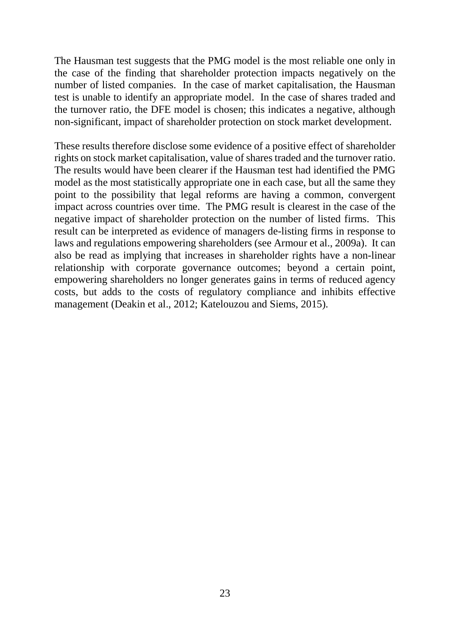The Hausman test suggests that the PMG model is the most reliable one only in the case of the finding that shareholder protection impacts negatively on the number of listed companies. In the case of market capitalisation, the Hausman test is unable to identify an appropriate model. In the case of shares traded and the turnover ratio, the DFE model is chosen; this indicates a negative, although non-significant, impact of shareholder protection on stock market development.

These results therefore disclose some evidence of a positive effect of shareholder rights on stock market capitalisation, value of shares traded and the turnover ratio. The results would have been clearer if the Hausman test had identified the PMG model as the most statistically appropriate one in each case, but all the same they point to the possibility that legal reforms are having a common, convergent impact across countries over time. The PMG result is clearest in the case of the negative impact of shareholder protection on the number of listed firms. This result can be interpreted as evidence of managers de-listing firms in response to laws and regulations empowering shareholders (see Armour et al., 2009a). It can also be read as implying that increases in shareholder rights have a non-linear relationship with corporate governance outcomes; beyond a certain point, empowering shareholders no longer generates gains in terms of reduced agency costs, but adds to the costs of regulatory compliance and inhibits effective management (Deakin et al., 2012; Katelouzou and Siems, 2015).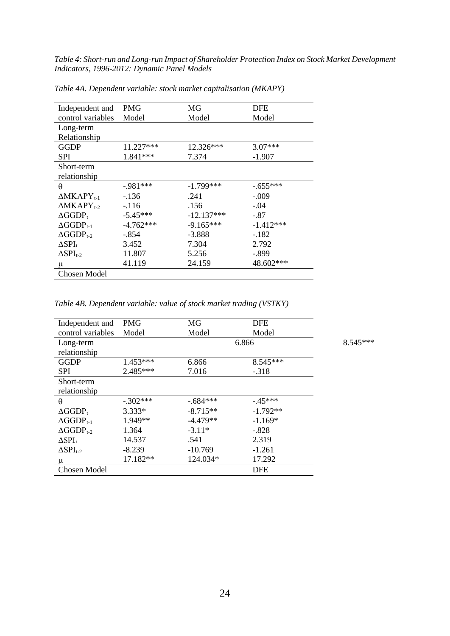*Table 4: Short-run and Long-run Impact of Shareholder Protection Index on Stock Market Development Indicators, 1996-2012: Dynamic Panel Models*

| Independent and                  | <b>PMG</b>  | MG           | DFE         |
|----------------------------------|-------------|--------------|-------------|
| control variables                | Model       | Model        | Model       |
| Long-term                        |             |              |             |
| Relationship                     |             |              |             |
| GGDP                             | 11.227***   | 12.326***    | $3.07***$   |
| SPI                              | 1.841 ***   | 7.374        | $-1.907$    |
| Short-term                       |             |              |             |
| relationship                     |             |              |             |
| θ                                | $-981***$   | $-1.799***$  | $-.655***$  |
| $\Delta$ MKAPY <sub>t-1</sub>    | $-136$      | .241         | $-.009$     |
| $\triangle$ MKAPY <sub>t-2</sub> | $-116$      | .156         | $-.04$      |
| $\Delta GGDP_t$                  | $-5.45***$  | $-12.137***$ | $-.87$      |
| $\Delta GGDP_{t-1}$              | $-4.762***$ | $-9.165***$  | $-1.412***$ |
| $\Delta GGDP_{t-2}$              | -.854       | $-3.888$     | $-182$      |
| $\Delta {\rm SPI}_{\rm t}$       | 3.452       | 7.304        | 2.792       |
| $\Delta SPI_{t-2}$               | 11.807      | 5.256        | -.899       |
| μ                                | 41.119      | 24.159       | 48.602***   |
| Chosen Model                     |             |              |             |

*Table 4A. Dependent variable: stock market capitalisation (MKAPY)*

*Table 4B. Dependent variable: value of stock market trading (VSTKY)*

| Independent and     | <b>PMG</b> | MG         | <b>DFE</b> |
|---------------------|------------|------------|------------|
| control variables   | Model      | Model      | Model      |
| Long-term           |            | 6.866      |            |
| relationship        |            |            |            |
| <b>GGDP</b>         | $1.453***$ | 6.866      | 8.545***   |
| <b>SPI</b>          | $2.485***$ | 7.016      | $-.318$    |
| Short-term          |            |            |            |
| relationship        |            |            |            |
| $\theta$            | $-.302***$ | $-.684***$ | $-45***$   |
| $\Delta GGDP_t$     | $3.333*$   | $-8.715**$ | $-1.792**$ |
| $\Delta GGDP_{t-1}$ | 1.949**    | $-4.479**$ | $-1.169*$  |
| $\Delta GGDP_{t-2}$ | 1.364      | $-3.11*$   | $-.828$    |
| $\Delta SPI_t$      | 14.537     | .541       | 2.319      |
| $\Delta SPI_{t-2}$  | $-8.239$   | $-10.769$  | $-1.261$   |
| μ                   | 17.182**   | 124.034*   | 17.292     |
| <b>Chosen Model</b> |            |            | <b>DFE</b> |

 $8.545***$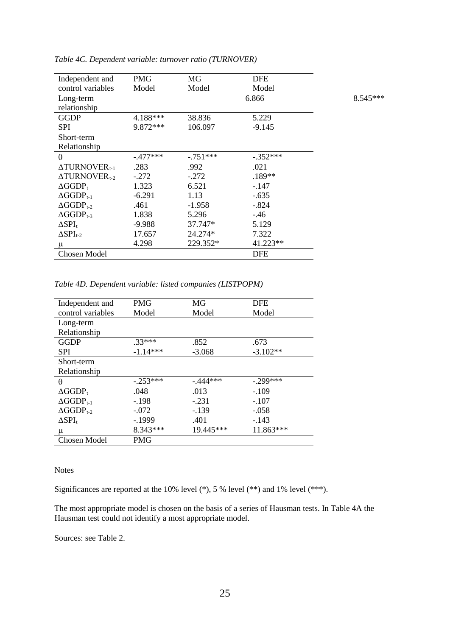| Independent and            | <b>PMG</b> | MG         | <b>DFE</b> |          |
|----------------------------|------------|------------|------------|----------|
| control variables          | Model      | Model      | Model      |          |
| Long-term                  |            |            | 6.866      | 8.545*** |
| relationship               |            |            |            |          |
| <b>GGDP</b>                | 4.188***   | 38.836     | 5.229      |          |
| <b>SPI</b>                 | 9.872 ***  | 106.097    | $-9.145$   |          |
| Short-term                 |            |            |            |          |
| Relationship               |            |            |            |          |
| $\theta$                   | $-.477***$ | $-.751***$ | $-.352***$ |          |
| $\triangle TURNOVER_{t-1}$ | .283       | .992       | .021       |          |
| $\triangle TURNOVER_{t-2}$ | $-.272$    | $-.272$    | $.189**$   |          |
| $\Delta GGDP_t$            | 1.323      | 6.521      | $-.147$    |          |
| $\Delta GGDP_{t-1}$        | $-6.291$   | 1.13       | $-.635$    |          |
| $\Delta GGDP_{t-2}$        | .461       | $-1.958$   | $-.824$    |          |
| $\Delta GGDP_{t-3}$        | 1.838      | 5.296      | $-46$      |          |
| $\Delta SPI_t$             | $-9.988$   | 37.747*    | 5.129      |          |
| $\Delta SPI_{t-2}$         | 17.657     | 24.274*    | 7.322      |          |
| μ                          | 4.298      | 229.352*   | 41.223**   |          |
| <b>Chosen Model</b>        |            |            | <b>DFE</b> |          |

*Table 4C. Dependent variable: turnover ratio (TURNOVER)*

*Table 4D. Dependent variable: listed companies (LISTPOPM)*

| Independent and     | <b>PMG</b> | MG        | <b>DFE</b> |
|---------------------|------------|-----------|------------|
| control variables   | Model      | Model     | Model      |
| Long-term           |            |           |            |
| Relationship        |            |           |            |
| <b>GGDP</b>         | $33***$    | .852      | .673       |
| <b>SPI</b>          | $-1.14***$ | $-3.068$  | $-3.102**$ |
| Short-term          |            |           |            |
| Relationship        |            |           |            |
| $\theta$            | $-.253***$ | $-444***$ | $-.299***$ |
| $\Delta GGDP_t$     | .048       | .013      | $-.109$    |
| $\Delta GGDP_{t-1}$ | $-.198$    | $-.231$   | $-.107$    |
| $\Delta GGDP_{t-2}$ | $-.072$    | $-139$    | $-.058$    |
| $\Delta SPI_t$      | -.1999     | .401      | $-143$     |
| μ                   | 8.343***   | 19.445*** | 11.863***  |
| Chosen Model        | PMG        |           |            |

Notes

Significances are reported at the 10% level  $(*)$ , 5 % level  $(***)$  and 1% level  $(***)$ .

The most appropriate model is chosen on the basis of a series of Hausman tests. In Table 4A the Hausman test could not identify a most appropriate model.

Sources: see Table 2.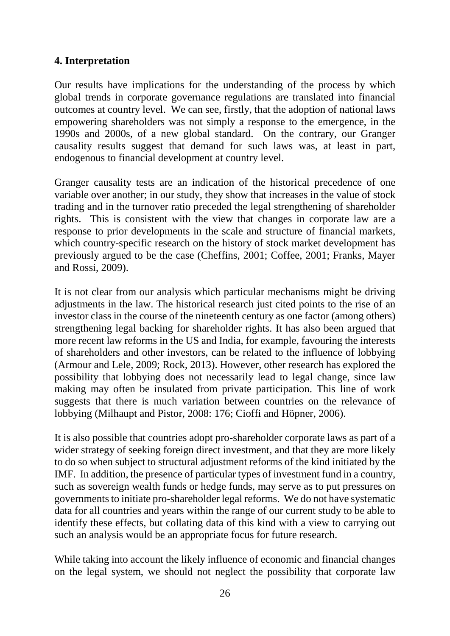## **4. Interpretation**

Our results have implications for the understanding of the process by which global trends in corporate governance regulations are translated into financial outcomes at country level. We can see, firstly, that the adoption of national laws empowering shareholders was not simply a response to the emergence, in the 1990s and 2000s, of a new global standard. On the contrary, our Granger causality results suggest that demand for such laws was, at least in part, endogenous to financial development at country level.

Granger causality tests are an indication of the historical precedence of one variable over another; in our study, they show that increases in the value of stock trading and in the turnover ratio preceded the legal strengthening of shareholder rights. This is consistent with the view that changes in corporate law are a response to prior developments in the scale and structure of financial markets, which country-specific research on the history of stock market development has previously argued to be the case (Cheffins, 2001; Coffee, 2001; Franks, Mayer and Rossi, 2009).

It is not clear from our analysis which particular mechanisms might be driving adjustments in the law. The historical research just cited points to the rise of an investor class in the course of the nineteenth century as one factor (among others) strengthening legal backing for shareholder rights. It has also been argued that more recent law reforms in the US and India, for example, favouring the interests of shareholders and other investors, can be related to the influence of lobbying (Armour and Lele, 2009; Rock, 2013). However, other research has explored the possibility that lobbying does not necessarily lead to legal change, since law making may often be insulated from private participation. This line of work suggests that there is much variation between countries on the relevance of lobbying (Milhaupt and Pistor, 2008: 176; Cioffi and Höpner, 2006).

It is also possible that countries adopt pro-shareholder corporate laws as part of a wider strategy of seeking foreign direct investment, and that they are more likely to do so when subject to structural adjustment reforms of the kind initiated by the IMF. In addition, the presence of particular types of investment fund in a country, such as sovereign wealth funds or hedge funds, may serve as to put pressures on governments to initiate pro-shareholder legal reforms. We do not have systematic data for all countries and years within the range of our current study to be able to identify these effects, but collating data of this kind with a view to carrying out such an analysis would be an appropriate focus for future research.

While taking into account the likely influence of economic and financial changes on the legal system, we should not neglect the possibility that corporate law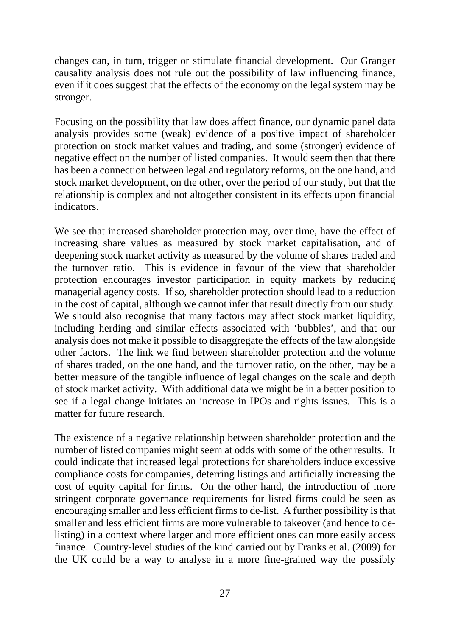changes can, in turn, trigger or stimulate financial development. Our Granger causality analysis does not rule out the possibility of law influencing finance, even if it does suggest that the effects of the economy on the legal system may be stronger.

Focusing on the possibility that law does affect finance, our dynamic panel data analysis provides some (weak) evidence of a positive impact of shareholder protection on stock market values and trading, and some (stronger) evidence of negative effect on the number of listed companies. It would seem then that there has been a connection between legal and regulatory reforms, on the one hand, and stock market development, on the other, over the period of our study, but that the relationship is complex and not altogether consistent in its effects upon financial indicators.

We see that increased shareholder protection may, over time, have the effect of increasing share values as measured by stock market capitalisation, and of deepening stock market activity as measured by the volume of shares traded and the turnover ratio. This is evidence in favour of the view that shareholder protection encourages investor participation in equity markets by reducing managerial agency costs. If so, shareholder protection should lead to a reduction in the cost of capital, although we cannot infer that result directly from our study. We should also recognise that many factors may affect stock market liquidity, including herding and similar effects associated with 'bubbles', and that our analysis does not make it possible to disaggregate the effects of the law alongside other factors. The link we find between shareholder protection and the volume of shares traded, on the one hand, and the turnover ratio, on the other, may be a better measure of the tangible influence of legal changes on the scale and depth of stock market activity. With additional data we might be in a better position to see if a legal change initiates an increase in IPOs and rights issues. This is a matter for future research.

The existence of a negative relationship between shareholder protection and the number of listed companies might seem at odds with some of the other results. It could indicate that increased legal protections for shareholders induce excessive compliance costs for companies, deterring listings and artificially increasing the cost of equity capital for firms. On the other hand, the introduction of more stringent corporate governance requirements for listed firms could be seen as encouraging smaller and less efficient firms to de-list. A further possibility is that smaller and less efficient firms are more vulnerable to takeover (and hence to delisting) in a context where larger and more efficient ones can more easily access finance. Country-level studies of the kind carried out by Franks et al. (2009) for the UK could be a way to analyse in a more fine-grained way the possibly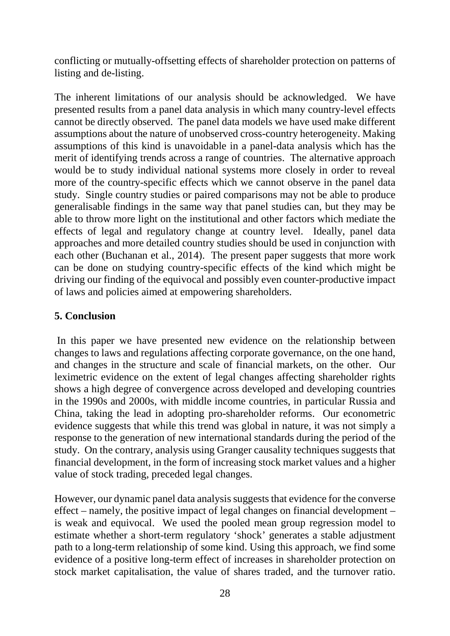conflicting or mutually-offsetting effects of shareholder protection on patterns of listing and de-listing.

The inherent limitations of our analysis should be acknowledged. We have presented results from a panel data analysis in which many country-level effects cannot be directly observed. The panel data models we have used make different assumptions about the nature of unobserved cross-country heterogeneity. Making assumptions of this kind is unavoidable in a panel-data analysis which has the merit of identifying trends across a range of countries. The alternative approach would be to study individual national systems more closely in order to reveal more of the country-specific effects which we cannot observe in the panel data study. Single country studies or paired comparisons may not be able to produce generalisable findings in the same way that panel studies can, but they may be able to throw more light on the institutional and other factors which mediate the effects of legal and regulatory change at country level. Ideally, panel data approaches and more detailed country studies should be used in conjunction with each other (Buchanan et al., 2014). The present paper suggests that more work can be done on studying country-specific effects of the kind which might be driving our finding of the equivocal and possibly even counter-productive impact of laws and policies aimed at empowering shareholders.

# **5. Conclusion**

In this paper we have presented new evidence on the relationship between changes to laws and regulations affecting corporate governance, on the one hand, and changes in the structure and scale of financial markets, on the other. Our leximetric evidence on the extent of legal changes affecting shareholder rights shows a high degree of convergence across developed and developing countries in the 1990s and 2000s, with middle income countries, in particular Russia and China, taking the lead in adopting pro-shareholder reforms. Our econometric evidence suggests that while this trend was global in nature, it was not simply a response to the generation of new international standards during the period of the study. On the contrary, analysis using Granger causality techniques suggests that financial development, in the form of increasing stock market values and a higher value of stock trading, preceded legal changes.

However, our dynamic panel data analysis suggests that evidence for the converse effect – namely, the positive impact of legal changes on financial development – is weak and equivocal. We used the pooled mean group regression model to estimate whether a short-term regulatory 'shock' generates a stable adjustment path to a long-term relationship of some kind. Using this approach, we find some evidence of a positive long-term effect of increases in shareholder protection on stock market capitalisation, the value of shares traded, and the turnover ratio.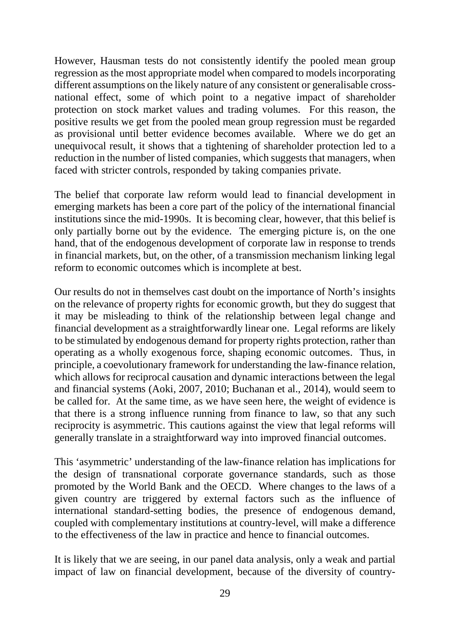However, Hausman tests do not consistently identify the pooled mean group regression as the most appropriate model when compared to models incorporating different assumptions on the likely nature of any consistent or generalisable crossnational effect, some of which point to a negative impact of shareholder protection on stock market values and trading volumes. For this reason, the positive results we get from the pooled mean group regression must be regarded as provisional until better evidence becomes available. Where we do get an unequivocal result, it shows that a tightening of shareholder protection led to a reduction in the number of listed companies, which suggests that managers, when faced with stricter controls, responded by taking companies private.

The belief that corporate law reform would lead to financial development in emerging markets has been a core part of the policy of the international financial institutions since the mid-1990s. It is becoming clear, however, that this belief is only partially borne out by the evidence. The emerging picture is, on the one hand, that of the endogenous development of corporate law in response to trends in financial markets, but, on the other, of a transmission mechanism linking legal reform to economic outcomes which is incomplete at best.

Our results do not in themselves cast doubt on the importance of North's insights on the relevance of property rights for economic growth, but they do suggest that it may be misleading to think of the relationship between legal change and financial development as a straightforwardly linear one. Legal reforms are likely to be stimulated by endogenous demand for property rights protection, rather than operating as a wholly exogenous force, shaping economic outcomes. Thus, in principle, a coevolutionary framework for understanding the law-finance relation, which allows for reciprocal causation and dynamic interactions between the legal and financial systems (Aoki, 2007, 2010; Buchanan et al., 2014), would seem to be called for. At the same time, as we have seen here, the weight of evidence is that there is a strong influence running from finance to law, so that any such reciprocity is asymmetric. This cautions against the view that legal reforms will generally translate in a straightforward way into improved financial outcomes.

This 'asymmetric' understanding of the law-finance relation has implications for the design of transnational corporate governance standards, such as those promoted by the World Bank and the OECD. Where changes to the laws of a given country are triggered by external factors such as the influence of international standard-setting bodies, the presence of endogenous demand, coupled with complementary institutions at country-level, will make a difference to the effectiveness of the law in practice and hence to financial outcomes.

It is likely that we are seeing, in our panel data analysis, only a weak and partial impact of law on financial development, because of the diversity of country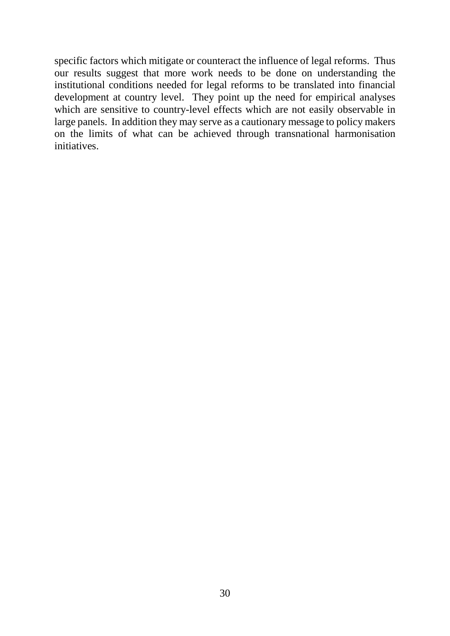specific factors which mitigate or counteract the influence of legal reforms. Thus our results suggest that more work needs to be done on understanding the institutional conditions needed for legal reforms to be translated into financial development at country level. They point up the need for empirical analyses which are sensitive to country-level effects which are not easily observable in large panels. In addition they may serve as a cautionary message to policy makers on the limits of what can be achieved through transnational harmonisation initiatives.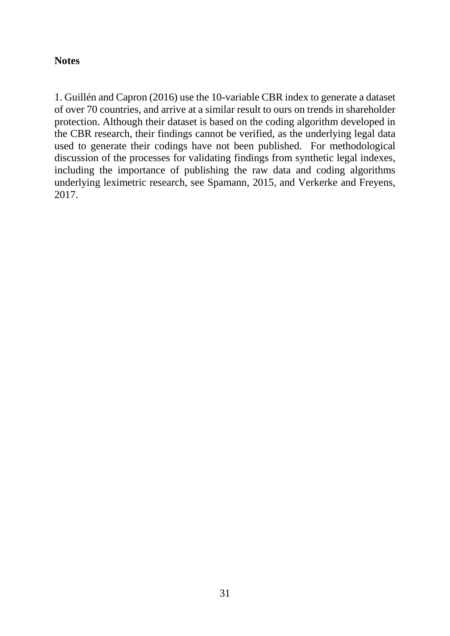#### **Notes**

1. Guillén and Capron (2016) use the 10-variable CBR index to generate a dataset of over 70 countries, and arrive at a similar result to ours on trends in shareholder protection. Although their dataset is based on the coding algorithm developed in the CBR research, their findings cannot be verified, as the underlying legal data used to generate their codings have not been published. For methodological discussion of the processes for validating findings from synthetic legal indexes, including the importance of publishing the raw data and coding algorithms underlying leximetric research, see Spamann, 2015, and Verkerke and Freyens, 2017.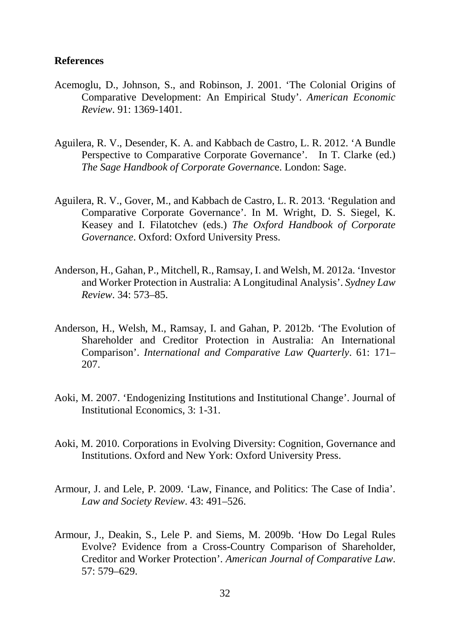#### **References**

- Acemoglu, D., Johnson, S., and Robinson, J. 2001. 'The Colonial Origins of Comparative Development: An Empirical Study'. *American Economic Review*. 91: 1369-1401.
- Aguilera, R. V., Desender, K. A. and Kabbach de Castro, L. R. 2012. 'A Bundle Perspective to Comparative Corporate Governance'. In T. Clarke (ed.) *The Sage Handbook of Corporate Governanc*e. London: Sage.
- Aguilera, R. V., Gover, M., and Kabbach de Castro, L. R. 2013. 'Regulation and Comparative Corporate Governance'. In M. Wright, D. S. Siegel, K. Keasey and I. Filatotchev (eds.) *The Oxford Handbook of Corporate Governance*. Oxford: Oxford University Press.
- Anderson, H., Gahan, P., Mitchell, R., Ramsay, I. and Welsh, M. 2012a. 'Investor and Worker Protection in Australia: A Longitudinal Analysis'. *Sydney Law Review*. 34: 573–85.
- Anderson, H., Welsh, M., Ramsay, I. and Gahan, P. 2012b. 'The Evolution of Shareholder and Creditor Protection in Australia: An International Comparison'. *International and Comparative Law Quarterly*. 61: 171– 207.
- Aoki, M. 2007. 'Endogenizing Institutions and Institutional Change'. Journal of Institutional Economics, 3: 1-31.
- Aoki, M. 2010. Corporations in Evolving Diversity: Cognition, Governance and Institutions. Oxford and New York: Oxford University Press.
- Armour, J. and Lele, P. 2009. 'Law, Finance, and Politics: The Case of India'. *Law and Society Review*. 43: 491–526.
- Armour, J., Deakin, S., Lele P. and Siems, M. 2009b. 'How Do Legal Rules Evolve? Evidence from a Cross-Country Comparison of Shareholder, Creditor and Worker Protection'. *American Journal of Comparative Law*. 57: 579–629.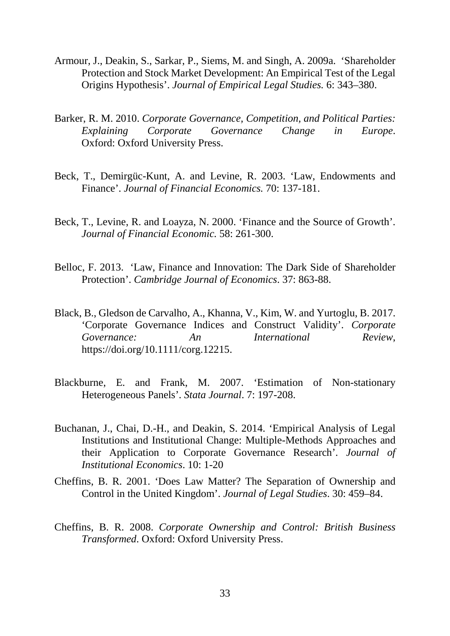- Armour, J., Deakin, S., Sarkar, P., Siems, M. and Singh, A. 2009a. 'Shareholder Protection and Stock Market Development: An Empirical Test of the Legal Origins Hypothesis'. *Journal of Empirical Legal Studies.* 6: 343–380.
- Barker, R. M. 2010. *Corporate Governance, Competition, and Political Parties: Explaining Corporate Governance Change in Europe*. Oxford: Oxford University Press.
- Beck, T., Demirgüc-Kunt, A. and Levine, R. 2003. 'Law, Endowments and Finance'. *Journal of Financial Economics.* 70: 137-181.
- Beck, T., Levine, R. and Loayza, N. 2000. 'Finance and the Source of Growth'. *Journal of Financial Economic.* 58: 261-300.
- Belloc, F. 2013. 'Law, Finance and Innovation: The Dark Side of Shareholder Protection'. *Cambridge Journal of Economics*. 37: 863-88.
- Black, B., Gledson de Carvalho, A., Khanna, V., Kim, W. and Yurtoglu, B. 2017. 'Corporate Governance Indices and Construct Validity'. *Corporate Governance: An International Review*, https://doi.org/10.1111/corg.12215.
- Blackburne, E. and Frank, M. 2007. 'Estimation of Non-stationary Heterogeneous Panels'. *Stata Journal*. 7: 197-208.
- Buchanan, J., Chai, D.-H., and Deakin, S. 2014. 'Empirical Analysis of Legal Institutions and Institutional Change: Multiple-Methods Approaches and their Application to Corporate Governance Research'. *Journal of Institutional Economics*. 10: 1-20
- Cheffins, B. R. 2001. 'Does Law Matter? The Separation of Ownership and Control in the United Kingdom'. *Journal of Legal Studies*. 30: 459–84.
- Cheffins, B. R. 2008. *Corporate Ownership and Control: British Business Transformed*. Oxford: Oxford University Press.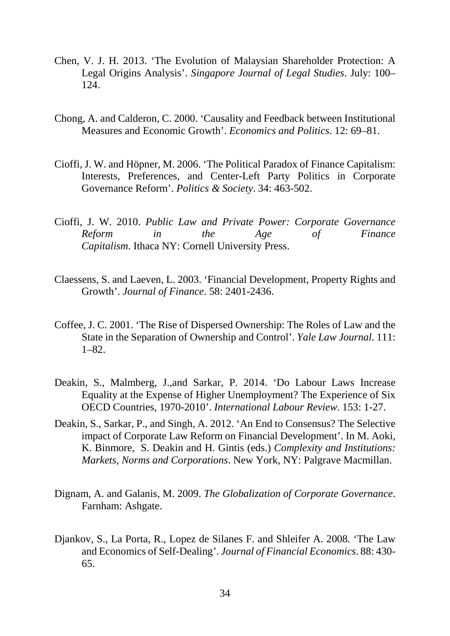- Chen, V. J. H. 2013. 'The Evolution of Malaysian Shareholder Protection: A Legal Origins Analysis'. *Singapore Journal of Legal Studies*. July: 100– 124.
- Chong, A. and Calderon, C. 2000. 'Causality and Feedback between Institutional Measures and Economic Growth'. *Economics and Politics*. 12: 69–81.
- Cioffi, J. W. and Höpner, M. 2006. 'The Political Paradox of Finance Capitalism: Interests, Preferences, and Center-Left Party Politics in Corporate Governance Reform'. *Politics & Society*. 34: 463-502.
- Cioffi, J. W. 2010. *Public Law and Private Power: Corporate Governance Reform in the Age of Finance Capitalism*. Ithaca NY: Cornell University Press.
- Claessens, S. and Laeven, L. 2003. 'Financial Development, Property Rights and Growth'. *Journal of Finance*. 58: 2401-2436.
- Coffee, J. C. 2001. 'The Rise of Dispersed Ownership: The Roles of Law and the State in the Separation of Ownership and Control'. *Yale Law Journal*. 111: 1–82.
- Deakin, S., Malmberg, J.,and Sarkar, P. 2014. 'Do Labour Laws Increase Equality at the Expense of Higher Unemployment? The Experience of Six OECD Countries, 1970-2010'. *International Labour Review*. 153: 1-27.
- Deakin, S., Sarkar, P., and Singh, A. 2012. 'An End to Consensus? The Selective impact of Corporate Law Reform on Financial Development'. In M. Aoki, K. Binmore, S. Deakin and H. Gintis (eds.) *Complexity and Institutions: Markets, Norms and Corporations*. New York, NY: Palgrave Macmillan.
- Dignam, A. and Galanis, M. 2009. *The Globalization of Corporate Governance*. Farnham: Ashgate.
- Djankov, S., La Porta, R., Lopez de Silanes F. and Shleifer A. 2008. 'The Law and Economics of Self-Dealing'. *Journal of Financial Economics*. 88: 430- 65.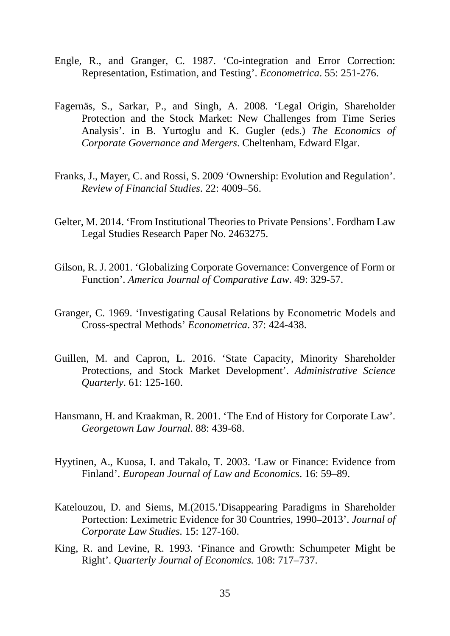- Engle, R., and Granger, C. 1987. 'Co-integration and Error Correction: Representation, Estimation, and Testing'. *Econometrica*. 55: 251-276.
- Fagernäs, S., Sarkar, P., and Singh, A. 2008. 'Legal Origin, Shareholder Protection and the Stock Market: New Challenges from Time Series Analysis'. in B. Yurtoglu and K. Gugler (eds.) *The Economics of Corporate Governance and Mergers*. Cheltenham, Edward Elgar.
- Franks, J., Mayer, C. and Rossi, S. 2009 'Ownership: Evolution and Regulation'. *Review of Financial Studies*. 22: 4009–56.
- Gelter, M. 2014. 'From Institutional Theories to Private Pensions'. Fordham Law Legal Studies Research Paper No. 2463275.
- Gilson, R. J. 2001. 'Globalizing Corporate Governance: Convergence of Form or Function'. *America Journal of Comparative Law*. 49: 329-57.
- Granger, C. 1969. 'Investigating Causal Relations by Econometric Models and Cross-spectral Methods' *Econometrica*. 37: 424-438.
- Guillen, M. and Capron, L. 2016. 'State Capacity, Minority Shareholder Protections, and Stock Market Development'. *Administrative Science Quarterly*. 61: 125-160.
- Hansmann, H. and Kraakman, R. 2001. 'The End of History for Corporate Law'. *Georgetown Law Journal*. 88: 439-68.
- Hyytinen, A., Kuosa, I. and Takalo, T. 2003. 'Law or Finance: Evidence from Finland'. *European Journal of Law and Economics*. 16: 59–89.
- Katelouzou, D. and Siems, M.(2015.'Disappearing Paradigms in Shareholder Portection: Leximetric Evidence for 30 Countries, 1990–2013'. *Journal of Corporate Law Studies.* 15: 127-160.
- King, R. and Levine, R. 1993. 'Finance and Growth: Schumpeter Might be Right'. *Quarterly Journal of Economics.* 108: 717–737.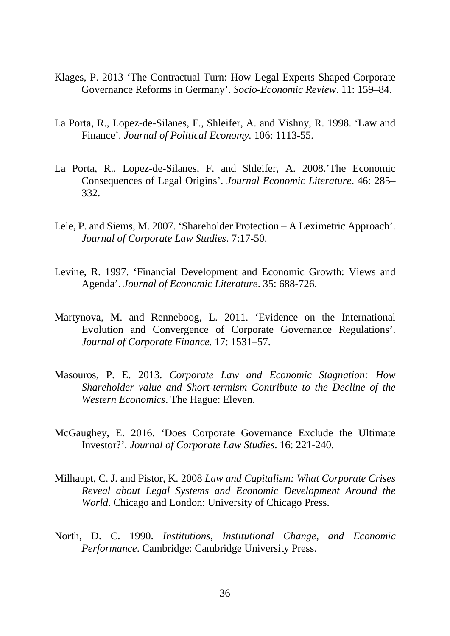- Klages, P. 2013 'The Contractual Turn: How Legal Experts Shaped Corporate Governance Reforms in Germany'. *Socio-Economic Review*. 11: 159–84.
- La Porta, R., Lopez-de-Silanes, F., Shleifer, A. and Vishny, R. 1998. 'Law and Finance'. *Journal of Political Economy.* 106: 1113-55.
- La Porta, R., Lopez-de-Silanes, F. and Shleifer, A. 2008.'The Economic Consequences of Legal Origins'. *Journal Economic Literature*. 46: 285– 332.
- Lele, P. and Siems, M. 2007. 'Shareholder Protection A Leximetric Approach'. *Journal of Corporate Law Studies*. 7:17-50.
- Levine, R. 1997. 'Financial Development and Economic Growth: Views and Agenda'. *Journal of Economic Literature*. 35: 688-726.
- Martynova, M. and Renneboog, L. 2011. 'Evidence on the International Evolution and Convergence of Corporate Governance Regulations'. *Journal of Corporate Finance.* 17: 1531–57.
- Masouros, P. E. 2013. *[Corporate Law and Economic Stagnation: How](http://hdl.handle.net/1887/19835)  [Shareholder value and Short-termism Contribute to the Decline of the](http://hdl.handle.net/1887/19835)  [Western Economics](http://hdl.handle.net/1887/19835)*. The Hague: Eleven.
- McGaughey, E. 2016. 'Does Corporate Governance Exclude the Ultimate Investor?'. *Journal of Corporate Law Studies*. 16: 221-240.
- Milhaupt, C. J. and Pistor, K. 2008 *Law and Capitalism: What Corporate Crises Reveal about Legal Systems and Economic Development Around the World*. Chicago and London: University of Chicago Press.
- North, D. C. 1990. *Institutions, Institutional Change, and Economic Performance*. Cambridge: Cambridge University Press.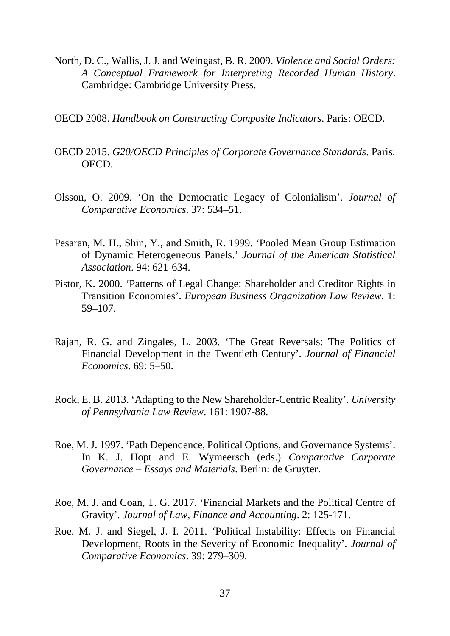- North, D. C., Wallis, J. J. and Weingast, B. R. 2009. *Violence and Social Orders: A Conceptual Framework for Interpreting Recorded Human History*. Cambridge: Cambridge University Press.
- OECD 2008. *Handbook on Constructing Composite Indicators*. Paris: OECD.
- OECD 2015. *G20/OECD Principles of Corporate Governance Standards*. Paris: OECD.
- Olsson, O. 2009. 'On the Democratic Legacy of Colonialism'. *Journal of Comparative Economics*. 37: 534–51.
- Pesaran, M. H., Shin, Y., and Smith, R. 1999. 'Pooled Mean Group Estimation of Dynamic Heterogeneous Panels.' *Journal of the American Statistical Association*. 94: 621-634.
- Pistor, K. 2000. 'Patterns of Legal Change: Shareholder and Creditor Rights in Transition Economies'. *European Business Organization Law Review*. 1: 59–107.
- Rajan, R. G. and Zingales, L. 2003. 'The Great Reversals: The Politics of Financial Development in the Twentieth Century'. *Journal of Financial Economics*. 69: 5–50.
- Rock, E. B. 2013. 'Adapting to the New Shareholder-Centric Reality'. *University of Pennsylvania Law Review*. 161: 1907-88.
- Roe, M. J. 1997. 'Path Dependence, Political Options, and Governance Systems'. In K. J. Hopt and E. Wymeersch (eds.) *Comparative Corporate Governance – Essays and Materials*. Berlin: de Gruyter.
- Roe, M. J. and Coan, T. G. 2017. 'Financial Markets and the Political Centre of Gravity'. *Journal of Law, Finance and Accounting*. 2: 125-171.
- Roe, M. J. and Siegel, J. I. 2011. 'Political Instability: Effects on Financial Development, Roots in the Severity of Economic Inequality'. *Journal of Comparative Economics*. 39: 279–309.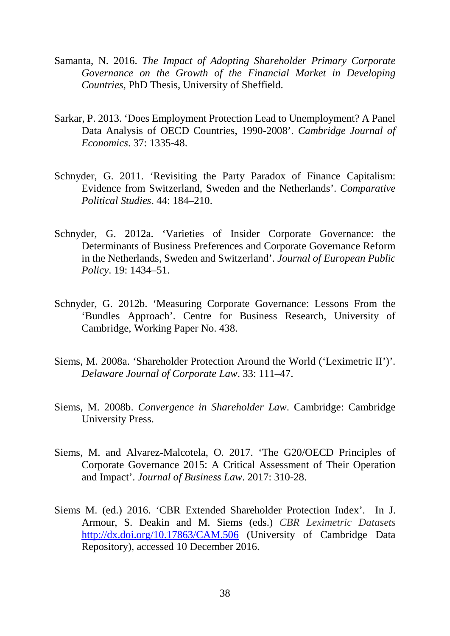- Samanta, N. 2016. *The Impact of Adopting Shareholder Primary Corporate Governance on the Growth of the Financial Market in Developing Countries*, PhD Thesis, University of Sheffield.
- Sarkar, P. 2013. 'Does Employment Protection Lead to Unemployment? A Panel Data Analysis of OECD Countries, 1990-2008'. *Cambridge Journal of Economics*. 37: 1335-48.
- Schnyder, G. 2011. 'Revisiting the Party Paradox of Finance Capitalism: Evidence from Switzerland, Sweden and the Netherlands'. *Comparative Political Studies*. 44: 184–210.
- Schnyder, G. 2012a. 'Varieties of Insider Corporate Governance: the Determinants of Business Preferences and Corporate Governance Reform in the Netherlands, Sweden and Switzerland'. *Journal of European Public Policy*. 19: 1434–51.
- Schnyder, G. 2012b. 'Measuring Corporate Governance: Lessons From the 'Bundles Approach'. Centre for Business Research, University of Cambridge, Working Paper No. 438.
- Siems, M. 2008a. 'Shareholder Protection Around the World ('Leximetric II')'. *Delaware Journal of Corporate Law*. 33: 111–47.
- Siems, M. 2008b. *Convergence in Shareholder Law*. Cambridge: Cambridge University Press.
- Siems, M. and Alvarez-Malcotela, O. 2017. 'The G20/OECD Principles of Corporate Governance 2015: A Critical Assessment of Their Operation and Impact'. *Journal of Business Law*. 2017: 310-28.
- Siems M. (ed.) 2016. 'CBR Extended Shareholder Protection Index'. In J. Armour, S. Deakin and M. Siems (eds.) *CBR Leximetric Datasets* <http://dx.doi.org/10.17863/CAM.506> (University of Cambridge Data Repository), accessed 10 December 2016.